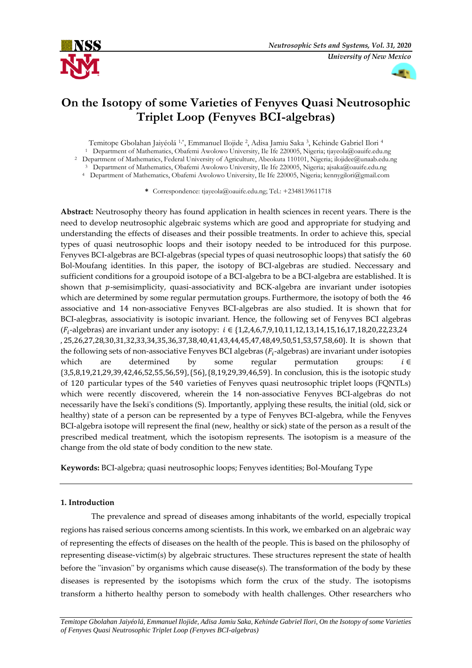



# **On the Isotopy of some Varieties of Fenyves Quasi Neutrosophic Triplet Loop (Fenyves BCI-algebras)**

Temitope Gbolahan Jaiyéolá 1,\*, Emmanuel Ilojide <sup>2</sup> , Adisa Jamiu Saka <sup>3</sup> , Kehinde Gabriel Ilori <sup>4</sup>

<sup>1</sup> Department of Mathematics, Obafemi Awolowo University, Ile Ife 220005, Nigeria; tjayeola@oauife.edu.ng

<sup>2</sup> Department of Mathematics, Federal University of Agriculture, Abeokuta 110101, Nigeria; ilojidee@unaab.edu.ng

<sup>3</sup> Department of Mathematics, Obafemi Awolowo University, Ile Ife 220005, Nigeria; ajsaka@oauife.edu.ng <sup>4</sup>Department of Mathematics, Obafemi Awolowo University, Ile Ife 220005, Nigeria; kennygilori@gmail.com

**\*** Correspondence: tjayeola@oauife.edu.ng; Tel.: +2348139611718

**Abstract:** Neutrosophy theory has found application in health sciences in recent years. There is the need to develop neutrosophic algebraic systems which are good and appropriate for studying and understanding the effects of diseases and their possible treatments. In order to achieve this, special types of quasi neutrosophic loops and their isotopy needed to be introduced for this purpose. Fenyves BCI-algebras are BCI-algebras (special types of quasi neutrosophic loops) that satisfy the 60 Bol-Moufang identities. In this paper, the isotopy of BCI-algebras are studied. Neccessary and sufficient conditions for a groupoid isotope of a BCI-algebra to be a BCI-algebra are established. It is shown that  $p$ -semisimplicity, quasi-associativity and BCK-algebra are invariant under isotopies which are determined by some regular permutation groups. Furthermore, the isotopy of both the 46 associative and 14 non-associative Fenyves BCI-algebras are also studied. It is shown that for BCI-alegbras, associativity is isotopic invariant. Hence, the following set of Fenyves BCI algebras ( $F_i$ -algebras) are invariant under any isotopy:  $i \in \{1,2,4,6,7,9,10,11,12,13,14,15,16,17,18,20,22,23,24$ , 25,26,27,28,30,31,32,33,34,35,36,37,38,40,41,43,44,45,47,48,49,50,51,53,57,58,60}. It is shown that the following sets of non-associative Fenyves BCI algebras ( $F_i$ -algebras) are invariant under isotopies which are determined by some regular permutation groups:  $i \in$ {3,5,8,19,21,29,39,42,46,52,55,56,59},{56},{8,19,29,39,46,59}. In conclusion, this is the isotopic study of 120 particular types of the 540 varieties of Fenyves quasi neutrosophic triplet loops (FQNTLs) which were recently discovered, wherein the 14 non-associative Fenyves BCI-algebras do not necessarily have the Iseki's conditions (S). Importantly, applying these results, the initial (old, sick or healthy) state of a person can be represented by a type of Fenyves BCI-algebra, while the Fenyves BCI-algebra isotope will represent the final (new, healthy or sick) state of the person as a result of the prescribed medical treatment, which the isotopism represents. The isotopism is a measure of the change from the old state of body condition to the new state.

**Keywords:** BCI-algebra; quasi neutrosophic loops; Fenyves identities; Bol-Moufang Type

# **1. Introduction**

 The prevalence and spread of diseases among inhabitants of the world, especially tropical regions has raised serious concerns among scientists. In this work, we embarked on an algebraic way of representing the effects of diseases on the health of the people. This is based on the philosophy of representing disease-victim(s) by algebraic structures. These structures represent the state of health before the ''invasion'' by organisms which cause disease(s). The transformation of the body by these diseases is represented by the isotopisms which form the crux of the study. The isotopisms transform a hitherto healthy person to somebody with health challenges. Other researchers who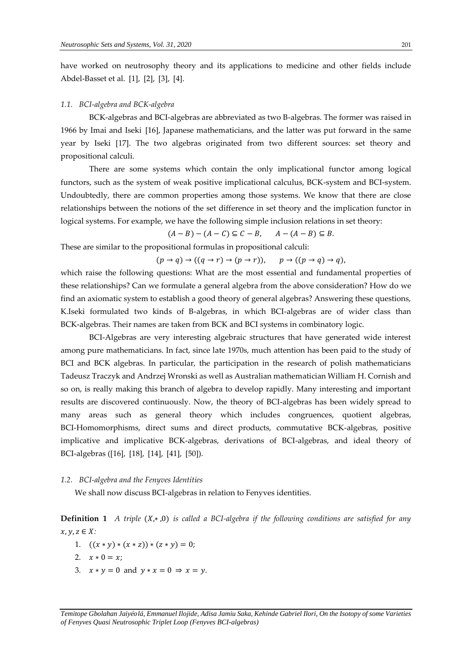have worked on neutrosophy theory and its applications to medicine and other fields include Abdel-Basset et al. [1], [2], [3], [4].

#### *1.1. BCI-algebra and BCK-algebra*

BCK-algebras and BCI-algebras are abbreviated as two B-algebras. The former was raised in 1966 by Imai and Iseki [16], Japanese mathematicians, and the latter was put forward in the same year by Iseki [17]. The two algebras originated from two different sources: set theory and propositional calculi.

There are some systems which contain the only implicational functor among logical functors, such as the system of weak positive implicational calculus, BCK-system and BCI-system. Undoubtedly, there are common properties among those systems. We know that there are close relationships between the notions of the set difference in set theory and the implication functor in logical systems. For example, we have the following simple inclusion relations in set theory:

 $(A - B) - (A - C) \subseteq C - B$ ,  $A - (A - B) \subseteq B$ .

These are similar to the propositional formulas in propositional calculi:

$$
(p \to q) \to ((q \to r) \to (p \to r)), \qquad p \to ((p \to q) \to q),
$$

which raise the following questions: What are the most essential and fundamental properties of these relationships? Can we formulate a general algebra from the above consideration? How do we find an axiomatic system to establish a good theory of general algebras? Answering these questions, K.Iseki formulated two kinds of B-algebras, in which BCI-algebras are of wider class than BCK-algebras. Their names are taken from BCK and BCI systems in combinatory logic.

BCI-Algebras are very interesting algebraic structures that have generated wide interest among pure mathematicians. In fact, since late 1970s, much attention has been paid to the study of BCI and BCK algebras. In particular, the participation in the research of polish mathematicians Tadeusz Traczyk and Andrzej Wronski as well as Australian mathematician William H. Cornish and so on, is really making this branch of algebra to develop rapidly. Many interesting and important results are discovered continuously. Now, the theory of BCI-algebras has been widely spread to many areas such as general theory which includes congruences, quotient algebras, BCI-Homomorphisms, direct sums and direct products, commutative BCK-algebras, positive implicative and implicative BCK-algebras, derivations of BCI-algebras, and ideal theory of BCI-algebras ([16], [18], [14], [41], [50]).

#### *1.2. BCI-algebra and the Fenyves Identities*

We shall now discuss BCI-algebras in relation to Fenyves identities.

**Definition 1** *A triple*  $(X, *, 0)$  *is called a BCI-algebra if the following conditions are satisfied for any*  $x, y, z \in X$ :

- 1.  $((x * y) * (x * z)) * (z * y) = 0;$
- 2.  $x * 0 = x$ ;
- 3.  $x * y = 0$  and  $y * x = 0 \Rightarrow x = y$ .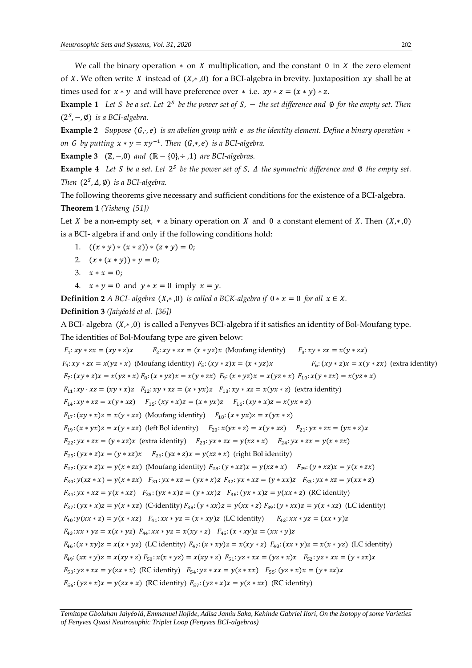We call the binary operation  $*$  on X multiplication, and the constant 0 in X the zero element of X. We often write X instead of  $(X, *, 0)$  for a BCI-algebra in brevity. Juxtaposition xy shall be at times used for  $x * y$  and will have preference over  $*$  i.e.  $xy * z = (x * y) * z$ .

**Example 1** Let *S* be a set. Let  $2^S$  be the power set of *S*,  $-$  the set difference and  $\emptyset$  for the empty set. Then  $(2<sup>S</sup>, -, \emptyset)$  *is a BCI-algebra.* 

**Example 2** *Suppose* (*G*, *·*, *e*) *is an abelian group with e as the identity element. Define a binary operation ∗ on G by putting*  $x * y = xy^{-1}$ . Then  $(G,*,e)$  *is a BCI-algebra.* 

**Example 3** (ℤ,−,0) *and* (ℝ− {0},÷ ,1) *are BCI-algebras.* 

**Example 4** Let *S* be a set. Let  $2^s$  be the power set of *S*,  $\Delta$  the symmetric difference and  $\emptyset$  the empty set. *Then*  $(2^S, \Delta, \emptyset)$  *is a BCI-algebra.* 

The following theorems give necessary and sufficient conditions for the existence of a BCI-algebra. **Theorem 1** *(Yisheng [51])*

Let *X* be a non-empty set,  $*$  a binary operation on *X* and 0 a constant element of *X*. Then  $(X, *0)$ is a BCI- algebra if and only if the following conditions hold:

1.  $((x * y) * (x * z)) * (z * y) = 0;$ 

2. 
$$
(x * (x * y)) * y = 0;
$$

- 3.  $x * x = 0;$
- 4.  $x * y = 0$  and  $y * x = 0$  imply  $x = y$ .

**Definition 2** *A BCI-algebra*  $(X, *, 0)$  *is called a BCK-algebra if*  $0 * x = 0$  *for all*  $x \in X$ *.* 

## **Definition 3** *(Jaiyélá et al. [36])*

A BCI- algebra  $(X,*,0)$  is called a Fenyves BCI-algebra if it satisfies an identity of Bol-Moufang type.

The identities of Bol-Moufang type are given below:

 $F_1: xy * zx = (xy * z)x$   $F_2: xy * zx = (x * yz)x$  (Moufang identity)  $F_3: xy * zx = x(y * zx)$  $F_4: xy * zx = x(yz * x)$  (Moufang identity)  $F_5: (xy * z)x = (x * yz)x$   $F_6: (xy * z)x = x(y * zx)$  (extra identity)  $F_7$ :  $(xy * z)x = x(yz * x) F_8$ :  $(x * yz)x = x(y * zx) F_9$ :  $(x * yz)x = x(yz * x) F_{10}$ :  $x(y * zx) = x(yz * x)$  $F_{11}: xy \cdot xz = (xy * x)z$   $F_{12}: xy * xz = (x * yx)z$   $F_{13}: xy * xz = x(yx * z)$  (extra identity)  $F_{14}: xy * xz = x(y * xz)$   $F_{15}: (xy * x)z = (x * yx)z$   $F_{16}: (xy * x)z = x(yx * z)$  $F_{17}: (xy * x)z = x(y * xz)$  (Moufang identity)  $F_{18}: (x * yx)z = x(yx * z)$  $F_{19}: (x * yx)z = x(y * xz)$  (left Bol identity)  $F_{20}: x(yx * z) = x(y * xz)$   $F_{21}: yx * zx = (yx * z)x$  $F_{22}: yx * zx = (y * xz)x$  (extra identity)  $F_{23}: yx * zx = y(xz * x)$   $F_{24}: yx * zx = y(x * zx)$  $F_{25}: (yx * z)x = (y * xz)x$   $F_{26}: (yx * z)x = y(xz * x)$  (right Bol identity)  $F_{27}$ :  $(yx * z)x = y(x * zx)$  (Moufang identity)  $F_{28}$ :  $(y * xz)x = y(x * x)$   $F_{29}$ :  $(y * xz)x = y(x * zx)$  $F_{30}: y(xz * x) = y(x * zx)$   $F_{31}: yx * xz = (yx * x)z$   $F_{32}: yx * xz = (y * xx)z$   $F_{33}: yx * xz = y(xx * z)$  $F_{34}: yx * xz = y(x * xz)$   $F_{35}: (yx * x)z = (y * xx)z$   $F_{36}: (yx * x)z = y(xx * z)$  (RC identity)  $F_{37}$ :  $(yx * x)z = y(x * xz)$  (C-identity)  $F_{38}$ :  $(y * xx)z = y(xx * z)$   $F_{39}$ :  $(y * xx)z = y(x * xz)$  (LC identity)  $F_{40}: y(xx * z) = y(x * xz)$   $F_{41}: xx * yz = (x * xy)z$  (LC identity)  $F_{42}: xx * yz = (xx * y)z$  $F_{43}: xx * yz = x(x * yz)$   $F_{44}: xx * yz = x(xy * z)$   $F_{45}: (x * xy)z = (xx * y)z$  $F_{46}$ :  $(x * xy)z = x(x * yz)$  (LC identity)  $F_{47}$ :  $(x * xy)z = x(xy * z) F_{48}$ :  $(xx * y)z = x(x * yz)$  (LC identity)  $F_{49}: (xx * y)z = x(xy * z) F_{50}: x(x * yz) = x(xy * z) F_{51}: yz * xx = (yz * x)x$   $F_{52}: yz * xx = (y * zx)x$  $F_{53}: yz * xx = y(zx * x)$  (RC identity)  $F_{54}: yz * xx = y(z * xx)$   $F_{55}: (yz * x)x = (y * zx)x$  $F_{56}$ :  $(yz * x)x = y(zx * x)$  (RC identity)  $F_{57}$ :  $(yz * x)x = y(z * xx)$  (RC identity)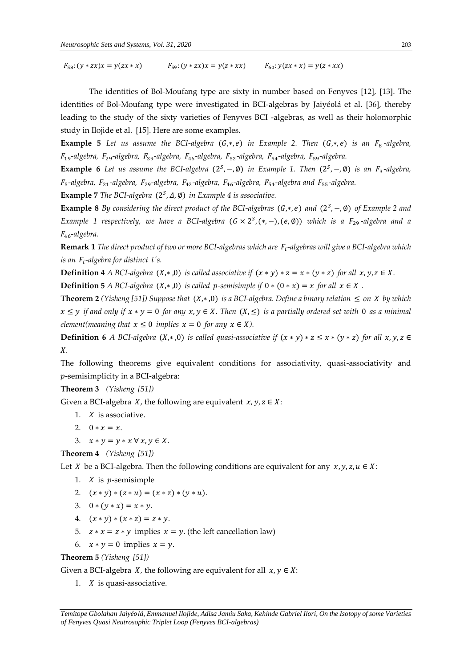$F_{58}: (y * zx)x = y(zx * x)$   $F_{59}: (y * zx)x = y(z * xx)$   $F_{60}: y(zx * x) = y(z * xx)$ 

The identities of Bol-Moufang type are sixty in number based on Fenyves [12], [13]. The identities of Bol-Moufang type were investigated in BCI-algebras by Jaiyéolá et al. [36], thereby leading to the study of the sixty varieties of Fenyves BCI -algebras, as well as their holomorphic study in Ilojide et al. [15]. Here are some examples.

**Example 5** Let us assume the BCI-algebra (G,\*,e) in Example 2. Then (G,\*,e) is an F<sub>8</sub>-algebra, 19*-algebra,* 29*-algebra,* 39*-algebra,* 46*-algebra,* 52*-algebra,* 54*-algebra,* 59*-algebra.* 

**Example 6** Let us assume the BCI-algebra  $(2^S, -, \emptyset)$  in Example 1. Then  $(2^S, -, \emptyset)$  is an  $F_3$ -algebra, 5 *-algebra,* 21*-algebra,* 29*-algebra,* 42*-algebra,* 46*-algebra,* 54*-algebra and* 55*-algebra.* 

**Example 7** The BCI-algebra  $(2^S, \Delta, \emptyset)$  in Example 4 is associative.

**Example 8** By considering the direct product of the BCI-algebras (G,\*,e) and (2<sup>s</sup>, –,Ø) of Example 2 and *Example 1 respectively, we have a BCI-algebra* (*G* × 2<sup>*S*</sup>,(\*,−),(e,Ø)) *which is a F*<sub>29</sub>-algebra and a 46*-algebra.* 

**Remark 1** *The direct product of two or more BCI-algebras which are -algebras will give a BCI-algebra which is an -algebra for distinct 's.* 

**Definition 4** *A BCI-algebra*  $(X, * , 0)$  *is called associative if*  $(x * y) * z = x * (y * z)$  *for all*  $x, y, z \in X$ .

**Definition 5** *A BCI-algebra*  $(X, * , 0)$  *is called p-semisimple if*  $0 * (0 * x) = x$  *for all*  $x \in X$ .

**Theorem 2** *(Yisheng [51])* Suppose that  $(X, ∗, 0)$  *is a BCI-algebra. Define a binary relation*  $≤$  *on X by which*  $x \leq y$  *if and only if*  $x * y = 0$  *for any*  $x, y \in X$ . Then  $(X, \leq)$  *is a partially ordered set with* 0 *as a minimal element(meaning that*  $x \le 0$  *implies*  $x = 0$  *for any*  $x \in X$ *)*.

**Definition 6** *A BCI-algebra*  $(X, * ,0)$  *is called quasi-associative if*  $(x * y) * z \le x * (y * z)$  *for all*  $x, y, z \in$ *.* 

The following theorems give equivalent conditions for associativity, quasi-associativity and -semisimplicity in a BCI-algebra:

**Theorem 3** *(Yisheng [51])*

Given a BCI-algebra X, the following are equivalent  $x, y, z \in X$ :

- 1.  $X$  is associative.
- 2.  $0 * x = x$ .
- 3.  $x * y = y * x \forall x, y \in X$ .

**Theorem 4** *(Yisheng [51])*

Let *X* be a BCI-algebra. Then the following conditions are equivalent for any  $x, y, z, u \in X$ :

- 1.  $X$  is  $p$ -semisimple
- 2.  $(x * y) * (z * u) = (x * z) * (y * u).$
- 3.  $0 * (y * x) = x * y$ .
- 4.  $(x * y) * (x * z) = z * y$ .
- 5.  $z * x = z * y$  implies  $x = y$ . (the left cancellation law)
- 6.  $x * y = 0$  implies  $x = y$ .

**Theorem 5** *(Yisheng [51])*

Given a BCI-algebra  $X$ , the following are equivalent for all  $x, y \in X$ :

1.  $X$  is quasi-associative.

*Temitope Gbolahan Jaiyélá, Emmanuel Ilojide, Adisa Jamiu Saka, Kehinde Gabriel Ilori, On the Isotopy of some Varieties of Fenyves Quasi Neutrosophic Triplet Loop (Fenyves BCI-algebras)*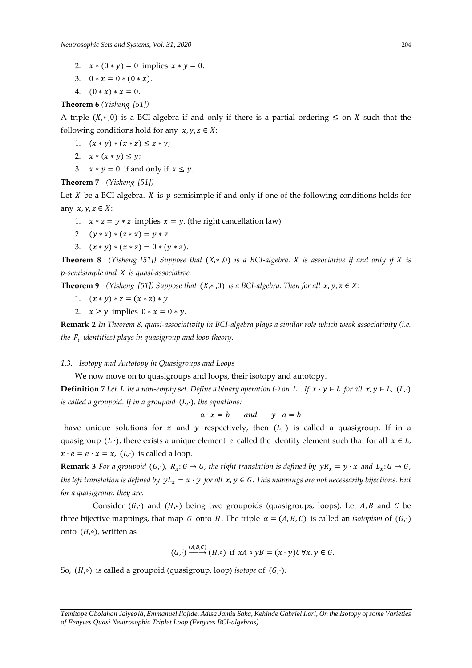- 2.  $x * (0 * y) = 0$  implies  $x * y = 0$ .
- 3.  $0 * x = 0 * (0 * x)$ .
- 4.  $(0 * x) * x = 0.$

**Theorem 6** *(Yisheng [51])*

A triple  $(X, *0)$  is a BCI-algebra if and only if there is a partial ordering  $\leq$  on X such that the following conditions hold for any  $x, y, z \in X$ :

- 1.  $(x * y) * (x * z) \le z * y;$
- 2.  $x * (x * y) \leq y;$
- 3.  $x * y = 0$  if and only if  $x \le y$ .

**Theorem 7** *(Yisheng [51])*

Let  $X$  be a BCI-algebra.  $X$  is  $p$ -semisimple if and only if one of the following conditions holds for any  $x, y, z \in X$ :

- 1.  $x * z = y * z$  implies  $x = y$ . (the right cancellation law)
- 2.  $(y * x) * (z * x) = y * z$ .
- 3.  $(x * y) * (x * z) = 0 * (y * z)$ .

**Theorem 8** *(Yisheng [51]) Suppose that*  $(X,*,0)$  *is a BCI-algebra. X is associative if and only if X is -semisimple and is quasi-associative.* 

**Theorem 9** *(Yisheng [51]) Suppose that*  $(X, *, 0)$  *is a BCI-algebra. Then for all*  $x, y, z \in X$ *:* 

- 1.  $(x * y) * z = (x * z) * y$ .
- 2.  $x \geq y$  implies  $0 * x = 0 * y$ .

**Remark 2** *In Theorem 8, quasi-associativity in BCI-algebra plays a similar role which weak associativity (i.e. the identities) plays in quasigroup and loop theory.* 

## *1.3. Isotopy and Autotopy in Quasigroups and Loops*

We now move on to quasigroups and loops, their isotopy and autotopy.

**Definition** 7 Let L be a non-empty set. Define a binary operation (·) on L . If  $x \cdot y \in L$  for all  $x, y \in L$ ,  $(L, \cdot)$ *is called a groupoid. If in a groupoid*  $(L, \cdot)$ *, the equations:* 

$$
a \cdot x = b \qquad and \qquad y \cdot a = b
$$

have unique solutions for x and y respectively, then  $(L, \cdot)$  is called a quasigroup. If in a quasigroup  $(L, \cdot)$ , there exists a unique element *e* called the identity element such that for all  $x \in L$ ,  $x \cdot e = e \cdot x = x$ ,  $(L, \cdot)$  is called a loop.

**Remark 3** *For a groupoid*  $(G, \cdot)$ *,*  $R_x: G \to G$ *, the right translation is defined by*  $yR_x = y \cdot x$  *and*  $L_x: G \to G$ *, the left translation is defined by*  $yL_x = x \cdot y$  *for all*  $x, y \in G$ . This mappings are not necessarily bijections. But *for a quasigroup, they are.* 

Consider  $(G, \cdot)$  and  $(H, \circ)$  being two groupoids (quasigroups, loops). Let A, B and C be three bijective mappings, that map G onto H. The triple  $\alpha = (A, B, C)$  is called an *isotopism* of  $(G, \cdot)$ onto  $(H, \circ)$ , written as

$$
(G,\cdot)\xrightarrow{(A,B,C)}(H,\circ)\text{ if } xA\circ yB=(x\cdot y)C\forall x,y\in G.
$$

So, (*H*,∘) is called a groupoid (quasigroup, loop) *isotope* of (*G*,⋅).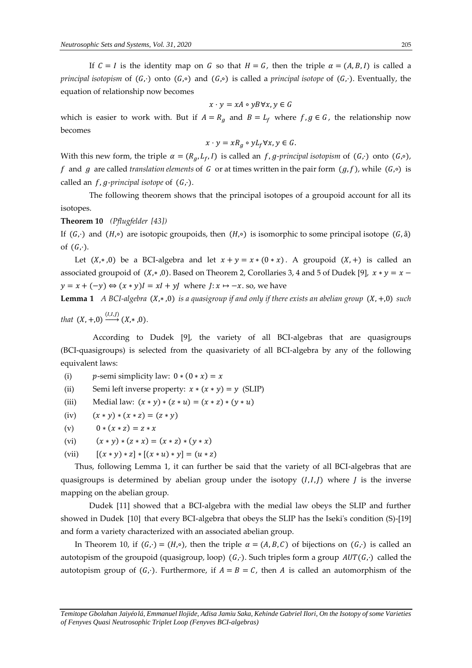If  $C = I$  is the identity map on G so that  $H = G$ , then the triple  $\alpha = (A, B, I)$  is called a *principal isotopism* of  $(G,·)$  onto  $(G,·)$  and  $(G,·)$  is called a *principal isotope* of  $(G,·)$ . Eventually, the equation of relationship now becomes

$$
x \cdot y = xA \circ yB \forall x, y \in G
$$

which is easier to work with. But if  $A = R_q$  and  $B = L_f$  where  $f, g \in G$ , the relationship now becomes

$$
x \cdot y = xR_g \circ yL_f \forall x, y \in G.
$$

With this new form, the triple  $\alpha = (R_a, L_f, I)$  is called an f, *g-principal isotopism* of  $(G, \cdot)$  onto  $(G, \circ)$ , f and g are called *translation elements* of G or at times written in the pair form  $(g, f)$ , while  $(G, \circ)$  is called an  $f$ ,  $g$ -principal isotope of  $(G, \cdot)$ .

The following theorem shows that the principal isotopes of a groupoid account for all its isotopes.

**Theorem 10** *(Pflugfelder [43])*

If  $(G, \cdot)$  and  $(H, \circ)$  are isotopic groupoids, then  $(H, \circ)$  is isomorphic to some principal isotope  $(G, \mathring{a})$ of  $(G, \cdot)$ .

Let  $(X, *0)$  be a BCI-algebra and let  $x + y = x * (0 * x)$ . A groupoid  $(X,+)$  is called an associated groupoid of  $(X, *0)$ . Based on Theorem 2, Corollaries 3, 4 and 5 of Dudek [9],  $x * y = x$  $y = x + (-y) \Leftrightarrow (x * y)I = xI + yJ$  where  $J: x \mapsto -x$ . so, we have

**Lemma 1** *A BCI-algebra*  $(X, *0)$  *is a quasigroup if and only if there exists an abelian group*  $(X, +0)$  *such* 

*that*  $(X, +,0) \xrightarrow{(I,I,J)} (X,*,0)$ .

According to Dudek [9], the variety of all BCI-algebras that are quasigroups (BCI-quasigroups) is selected from the quasivariety of all BCI-algebra by any of the following equivalent laws:

(i)  $p$ -semi simplicity law:  $0 * (0 * x) = x$ 

(ii) Semi left inverse property:  $x * (x * y) = y$  (SLIP)

(iii) Medial law:  $(x * y) * (z * u) = (x * z) * (y * u)$ 

- (iv)  $(x * y) * (x * z) = (z * y)$
- (v)  $0 * (x * z) = z * x$
- (vi)  $(x * y) * (z * x) = (x * z) * (y * x)$
- (vii)  $[(x * y) * z] * [(x * u) * y] = (u * z)$

 Thus, following Lemma 1, it can further be said that the variety of all BCI-algebras that are quasigroups is determined by abelian group under the isotopy  $(I, I, J)$  where  $J$  is the inverse mapping on the abelian group.

Dudek [11] showed that a BCI-algebra with the medial law obeys the SLIP and further showed in Dudek [10] that every BCI-algebra that obeys the SLIP has the Iseki's condition (S)-[19] and form a variety characterized with an associated abelian group.

In Theorem 10, if  $(G, \cdot) = (H, \circ)$ , then the triple  $\alpha = (A, B, C)$  of bijections on  $(G, \cdot)$  is called an autotopism of the groupoid (quasigroup, loop)  $(G, \cdot)$ . Such triples form a group  $AUT(G, \cdot)$  called the autotopism group of  $(G_1)$ . Furthermore, if  $A = B = C$ , then A is called an automorphism of the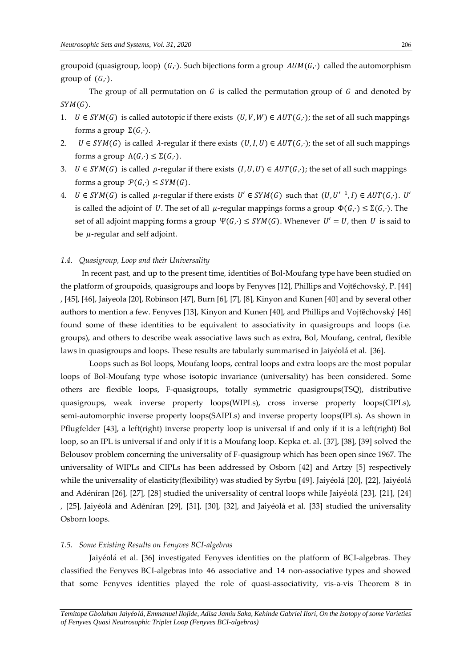groupoid (quasigroup, loop)  $(G, \cdot)$ . Such bijections form a group  $AUM(G, \cdot)$  called the automorphism group of  $(G, \cdot)$ .

The group of all permutation on  $G$  is called the permutation group of  $G$  and denoted by  $SYM(G)$ .

- 1.  $U \in SYM(G)$  is called autotopic if there exists  $(U, V, W) \in AUT(G, \cdot)$ ; the set of all such mappings forms a group  $\Sigma(G,\cdot)$ .
- 2.  $U \in SYM(G)$  is called  $\lambda$ -regular if there exists  $(U, I, U) \in AUT(G, \cdot)$ ; the set of all such mappings forms a group  $\Lambda(G,\cdot) \leq \Sigma(G,\cdot)$ .
- 3.  $U \in SYM(G)$  is called  $\rho$ -regular if there exists  $(I, U, U) \in AUT(G, \cdot)$ ; the set of all such mappings forms a group  $P(G, \cdot) \leq SYM(G)$ .
- 4.  $U \in SYM(G)$  is called  $\mu$ -regular if there exists  $U' \in SYM(G)$  such that  $(U, U'^{-1}, I) \in AUT(G, \cdot)$ .  $U'$ is called the adjoint of U. The set of all  $\mu$ -regular mappings forms a group  $\Phi(G, \cdot) \leq \Sigma(G, \cdot)$ . The set of all adjoint mapping forms a group  $\Psi(G, \cdot) \leq SYM(G)$ . Whenever  $U' = U$ , then U is said to be  $\mu$ -regular and self adjoint.

#### *1.4. Quasigroup, Loop and their Universality*

 In recent past, and up to the present time, identities of Bol-Moufang type have been studied on the platform of groupoids, quasigroups and loops by Fenyves [12], Phillips and Vojtĕchovský, P. [44] , [45], [46], Jaiyeola [20], Robinson [47], Burn [6], [7], [8], Kinyon and Kunen [40] and by several other authors to mention a few. Fenyves [13], Kinyon and Kunen [40], and Phillips and Vojtĕchovský [46] found some of these identities to be equivalent to associativity in quasigroups and loops (i.e. groups), and others to describe weak associative laws such as extra, Bol, Moufang, central, flexible laws in quasigroups and loops. These results are tabularly summarised in Jaiyéolá et al. [36].

Loops such as Bol loops, Moufang loops, central loops and extra loops are the most popular loops of Bol-Moufang type whose isotopic invariance (universality) has been considered. Some others are flexible loops, F-quasigroups, totally symmetric quasigroups(TSQ), distributive quasigroups, weak inverse property loops(WIPLs), cross inverse property loops(CIPLs), semi-automorphic inverse property loops(SAIPLs) and inverse property loops(IPLs). As shown in Pflugfelder [43], a left(right) inverse property loop is universal if and only if it is a left(right) Bol loop, so an IPL is universal if and only if it is a Moufang loop. Kepka et. al. [37], [38], [39] solved the Belousov problem concerning the universality of F-quasigroup which has been open since 1967. The universality of WIPLs and CIPLs has been addressed by Osborn [42] and Artzy [5] respectively while the universality of elasticity(flexibility) was studied by Syrbu [49]. Jaiyéolá [20], [22], Jaiyéolá and Adéníran [26], [27], [28] studied the universality of central loops while Jaiyéolá [23], [21], [24] , [25], Jaiyéolá and Adéníran [29], [31], [30], [32], and Jaiyéolá et al. [33] studied the universality Osborn loops.

#### *1.5. Some Existing Results on Fenyves BCI-algebras*

Jaiyéolá et al. [36] investigated Fenyves identities on the platform of BCI-algebras. They classified the Fenyves BCI-algebras into 46 associative and 14 non-associative types and showed that some Fenyves identities played the role of quasi-associativity, vis-a-vis Theorem 8 in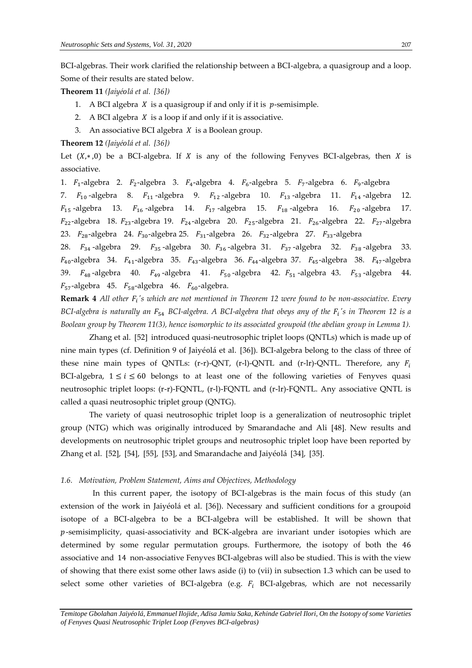BCI-algebras. Their work clarified the relationship between a BCI-algebra, a quasigroup and a loop. Some of their results are stated below.

**Theorem 11** *(Jaiyélá et al. [36])*

- 1. A BCI algebra  $X$  is a quasigroup if and only if it is  $p$ -semisimple.
- 2. A BCI algebra  $X$  is a loop if and only if it is associative.
- 3. An associative BCI algebra  $X$  is a Boolean group.

## **Theorem 12** *(Jaiyélá et al. [36])*

Let  $(X, *0)$  be a BCI-algebra. If X is any of the following Fenyves BCI-algebras, then X is associative.

1.  $F_1$ -algebra 2.  $F_2$ -algebra 3.  $F_4$ -algebra 4.  $F_6$ -algebra 5.  $F_7$ -algebra 6.  $F_9$ -algebra

7.  $F_{10}$ -algebra 8.  $F_{11}$ -algebra 9.  $F_{12}$ -algebra 10.  $F_{13}$ -algebra 11.  $F_{14}$ -algebra 12.  $F_{15}$ -algebra 13.  $F_{16}$ -algebra 14.  $F_{17}$ -algebra 15.  $F_{18}$ -algebra 16.  $F_{20}$ -algebra 17.  $F_{22}$ -algebra 18.  $F_{23}$ -algebra 19.  $F_{24}$ -algebra 20.  $F_{25}$ -algebra 21.  $F_{26}$ -algebra 22.  $F_{27}$ -algebra 23.  $F_{28}$ -algebra 24.  $F_{30}$ -algebra 25.  $F_{31}$ -algebra 26.  $F_{32}$ -algebra 27.  $F_{33}$ -algebra

28.  $F_{34}$ -algebra 29.  $F_{35}$ -algebra 30.  $F_{36}$ -algebra 31.  $F_{37}$ -algebra 32.  $F_{38}$ -algebra 33.  $F_{40}$ -algebra 34.  $F_{41}$ -algebra 35.  $F_{43}$ -algebra 36.  $F_{44}$ -algebra 37.  $F_{45}$ -algebra 38.  $F_{47}$ -algebra 39.  $F_{48}$ -algebra 40.  $F_{49}$ -algebra 41.  $F_{50}$ -algebra 42.  $F_{51}$ -algebra 43.  $F_{53}$ -algebra 44.  $F_{57}$ -algebra 45.  $F_{58}$ -algebra 46.  $F_{60}$ -algebra.

**Remark 4** All other  $F_i$ 's which are not mentioned in Theorem 12 were found to be non-associative. Every *BCI-algebra is naturally an* <sup>54</sup> *BCI-algebra. A BCI-algebra that obeys any of the 's in Theorem 12 is a Boolean group by Theorem 11(3), hence isomorphic to its associated groupoid (the abelian group in Lemma 1).* 

Zhang et al. [52] introduced quasi-neutrosophic triplet loops (QNTLs) which is made up of nine main types (cf. Definition 9 of Jaiyéolá et al. [36]). BCI-algebra belong to the class of three of these nine main types of QNTLs: (r-r)-QNT, (r-l)-QNTL and (r-lr)-QNTL. Therefore, any  $F_i$ BCI-algebra,  $1 \le i \le 60$  belongs to at least one of the following varieties of Fenyves quasi neutrosophic triplet loops: (r-r)-FQNTL, (r-l)-FQNTL and (r-lr)-FQNTL. Any associative QNTL is called a quasi neutrosophic triplet group (QNTG).

The variety of quasi neutrosophic triplet loop is a generalization of neutrosophic triplet group (NTG) which was originally introduced by Smarandache and Ali [48]. New results and developments on neutrosophic triplet groups and neutrosophic triplet loop have been reported by Zhang et al. [52], [54], [55], [53], and Smarandache and Jaiyéolá [34], [35].

#### *1.6. Motivation, Problem Statement, Aims and Objectives, Methodology*

In this current paper, the isotopy of BCI-algebras is the main focus of this study (an extension of the work in Jaiyéolá et al. [36]). Necessary and sufficient conditions for a groupoid isotope of a BCI-algebra to be a BCI-algebra will be established. It will be shown that  $p$ -semisimplicity, quasi-associativity and BCK-algebra are invariant under isotopies which are determined by some regular permutation groups. Furthermore, the isotopy of both the 46 associative and 14 non-associative Fenyves BCI-algebras will also be studied. This is with the view of showing that there exist some other laws aside (i) to (vii) in subsection 1.3 which can be used to select some other varieties of BCI-algebra (e.g.  $F_i$  BCI-algebras, which are not necessarily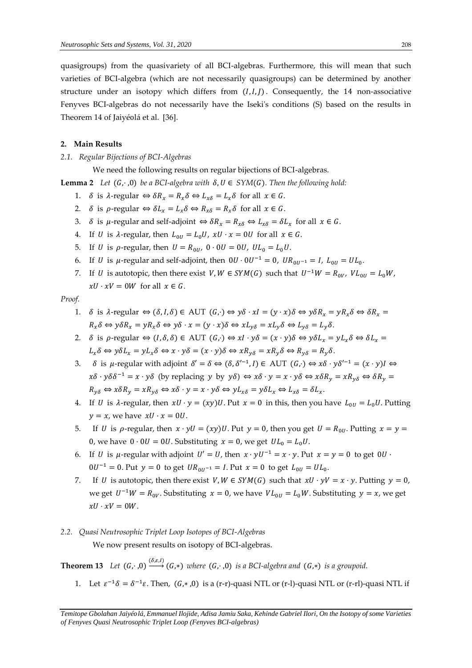quasigroups) from the quasivariety of all BCI-algebras. Furthermore, this will mean that such varieties of BCI-algebra (which are not necessarily quasigroups) can be determined by another structure under an isotopy which differs from  $(I, I, I)$ . Consequently, the 14 non-associative Fenyves BCI-algebras do not necessarily have the Iseki's conditions (S) based on the results in Theorem 14 of Jaiyéolá et al. [36].

## **2. Main Results**

*2.1. Regular Bijections of BCI-Algebras*

We need the following results on regular bijections of BCI-algebras.

**Lemma 2** *Let*  $(G, ⋅, 0)$  *be a BCI-algebra with*  $\delta, U \in SYM(G)$ *. Then the following hold:* 

- 1.  $\delta$  is  $\lambda$ -regular  $\Leftrightarrow \delta R_x = R_x \delta \Leftrightarrow L_{x\delta} = L_x \delta$  for all  $x \in G$ .
- 2.  $\delta$  is  $\rho$ -regular  $\Leftrightarrow \delta L_x = L_x \delta \Leftrightarrow R_{x\delta} = R_x \delta$  for all  $x \in G$ .
- 3.  $\delta$  is  $\mu$ -regular and self-adjoint  $\Leftrightarrow \delta R_x = R_{x\delta} \Leftrightarrow L_{x\delta} = \delta L_x$  for all  $x \in G$ .
- 4. If *U* is  $\lambda$ -regular, then  $L_{0U} = L_0 U$ ,  $xU \cdot x = 0U$  for all  $x \in G$ .
- 5. If *U* is  $\rho$ -regular, then  $U = R_{0U}$ ,  $0 \cdot 0U = 0U$ ,  $UL_0 = L_0U$ .
- 6. If *U* is *µ*-regular and self-adjoint, then  $0U \cdot 0U^{-1} = 0$ ,  $UR_{0U^{-1}} = I$ ,  $L_{0U} = UL_0$ .
- 7. If *U* is autotopic, then there exist  $V, W \in SYM(G)$  such that  $U^{-1}W = R_{0V}$ ,  $VL_{0U} = L_0W$ ,  $xU \cdot xV = 0W$  for all  $x \in G$ .

## *Proof.*

- 1.  $\delta$  is  $\lambda$ -regular  $\Leftrightarrow (\delta, I, \delta) \in \text{AUT } (G, \cdot) \Leftrightarrow \gamma \delta \cdot xI = (\gamma \cdot x)\delta \Leftrightarrow \gamma \delta R_x = \gamma R_x \delta \Leftrightarrow \delta R_x =$  $R_x \delta \Leftrightarrow y \delta R_x = y R_x \delta \Leftrightarrow y \delta \cdot x = (y \cdot x) \delta \Leftrightarrow x L_{y\delta} = x L_y \delta \Leftrightarrow L_{y\delta} = L_y \delta.$
- 2.  $\delta$  is  $\rho$ -regular  $\Leftrightarrow (I, \delta, \delta) \in \text{AUT } (G, \cdot) \Leftrightarrow xI \cdot y\delta = (x \cdot y)\delta \Leftrightarrow y\delta L_x = yL_x\delta \Leftrightarrow \delta L_x = yL_y\delta$  $L_x \delta \Leftrightarrow y \delta L_x = y L_x \delta \Leftrightarrow x \cdot y \delta = (x \cdot y) \delta \Leftrightarrow x R_{y \delta} = x R_y \delta \Leftrightarrow R_{y \delta} = R_y \delta.$
- 3.  $\delta$  is  $\mu$ -regular with adjoint  $\delta' = \delta \Leftrightarrow (\delta, \delta'^{-1}, I) \in \text{AUT } (G, \cdot) \Leftrightarrow x\delta \cdot y\delta'^{-1} = (x \cdot y)I \Leftrightarrow$  $x\delta \cdot y\delta\delta^{-1} = x \cdot y\delta$  (by replacing y by  $y\delta$ )  $\Leftrightarrow x\delta \cdot y = x \cdot y\delta \Leftrightarrow x\delta R_y = xR_{y\delta} \Leftrightarrow \delta R_y = x\delta R_y$  $R_{\nu\delta} \Leftrightarrow x\delta R_{\nu} = xR_{\nu\delta} \Leftrightarrow x\delta \cdot y = x \cdot y\delta \Leftrightarrow yL_{x\delta} = y\delta L_x \Leftrightarrow L_{x\delta} = \delta L_x.$
- 4. If *U* is  $\lambda$ -regular, then  $xU \cdot y = (xy)U$ . Put  $x = 0$  in this, then you have  $L_{0U} = L_0U$ . Putting  $y = x$ , we have  $xU \cdot x = 0U$ .
- 5. If U is  $\rho$ -regular, then  $x \cdot yU = (xy)U$ . Put  $y = 0$ , then you get  $U = R_{0U}$ . Putting  $x = y =$ 0, we have  $0 \cdot 0U = 0U$ . Substituting  $x = 0$ , we get  $UL_0 = L_0U$ .
- 6. If *U* is  $\mu$ -regular with adjoint  $U' = U$ , then  $x \cdot yU^{-1} = x \cdot y$ . Put  $x = y = 0$  to get  $0U \cdot$  $0U^{-1} = 0$ . Put  $y = 0$  to get  $UR_{0U^{-1}} = I$ . Put  $x = 0$  to get  $L_{0U} = UL_0$ .
- 7. If U is autotopic, then there exist  $V, W \in SYM(G)$  such that  $xU \cdot yV = x \cdot y$ . Putting  $y = 0$ , we get  $U^{-1}W = R_{0V}$ . Substituting  $x = 0$ , we have  $VL_{0U} = L_0W$ . Substituting  $y = x$ , we get  $xU \cdot xV = 0W$ .

#### *2.2. Quasi Neutrosophic Triplet Loop Isotopes of BCI-Algebras*

We now present results on isotopy of BCI-algebras.

**Theorem 13** *Let*  $(G, \cdot, 0) \xrightarrow{(\delta, \varepsilon, I)} (G, \cdot)$  *where*  $(G, \cdot, 0)$  *is a BCI-algebra and*  $(G, \cdot)$  *is a groupoid.* 

1. Let  $\varepsilon^{-1}\delta = \delta^{-1}\varepsilon$ . Then,  $(G,*,0)$  is a (r-r)-quasi NTL or (r-l)-quasi NTL or (r-rl)-quasi NTL if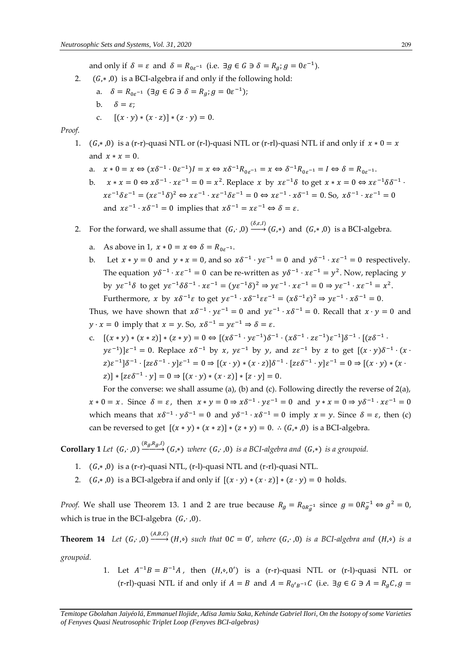and only if  $\delta = \varepsilon$  and  $\delta = R_{0\varepsilon^{-1}}$  (i.e.  $\exists g \in G \ni \delta = R_g$ ;  $g = 0\varepsilon^{-1}$ ).

- 2.  $(G, *, 0)$  is a BCI-algebra if and only if the following hold: a.  $\delta = R_{0\varepsilon^{-1}} \quad (\exists g \in G \ni \delta = R_g; g = 0\varepsilon^{-1});$ 
	- b.  $\delta = \varepsilon$ :
	- c.  $[(x \cdot y) * (x \cdot z)] * (z \cdot y) = 0.$

### *Proof.*

- 1.  $(G,*,0)$  is a (r-r)-quasi NTL or (r-l)-quasi NTL or (r-rl)-quasi NTL if and only if  $x * 0 = x$ and  $x * x = 0$ .
	- a.  $x * 0 = x \Leftrightarrow (x\delta^{-1} \cdot 0\varepsilon^{-1})I = x \Leftrightarrow x\delta^{-1}R_{0\varepsilon^{-1}} = x \Leftrightarrow \delta^{-1}R_{0\varepsilon^{-1}} = I \Leftrightarrow \delta = R_{0\varepsilon^{-1}}.$
	- b.  $x * x = 0 \Leftrightarrow x\delta^{-1} \cdot x\varepsilon^{-1} = 0 = x^2$ . Replace x by  $x\varepsilon^{-1}\delta$  to get  $x * x = 0 \Leftrightarrow x\varepsilon^{-1}\delta\delta^{-1} \cdot x\varepsilon^{-1}$  $x\varepsilon^{-1}\delta\varepsilon^{-1} = (x\varepsilon^{-1}\delta)^2 \Leftrightarrow x\varepsilon^{-1} \cdot x\varepsilon^{-1}\delta\varepsilon^{-1} = 0 \Leftrightarrow x\varepsilon^{-1} \cdot x\delta^{-1} = 0$ . So,  $x\delta^{-1} \cdot x\varepsilon^{-1} = 0$ and  $x \varepsilon^{-1} \cdot x \delta^{-1} = 0$  implies that  $x \delta^{-1} = x \varepsilon^{-1} \Leftrightarrow \delta = \varepsilon$ .

2. For the forward, we shall assume that  $(G, \cdot, 0) \xrightarrow{( \delta, \varepsilon, I)} (G, *)$  and  $(G, *, 0)$  is a BCI-algebra.

- a. As above in 1,  $x * 0 = x \Leftrightarrow \delta = R_{0\varepsilon^{-1}}$ .
- b. Let  $x * y = 0$  and  $y * x = 0$ , and so  $x\delta^{-1} \cdot y\epsilon^{-1} = 0$  and  $y\delta^{-1} \cdot x\epsilon^{-1} = 0$  respectively. The equation  $y\delta^{-1} \cdot x\varepsilon^{-1} = 0$  can be re-written as  $y\delta^{-1} \cdot x\varepsilon^{-1} = y^2$ . Now, replacing y by  $ye^{-1}\delta$  to get  $ye^{-1}\delta\delta^{-1} \cdot xe^{-1} = (ye^{-1}\delta)^2 \Rightarrow ye^{-1} \cdot xe^{-1} = 0 \Rightarrow ye^{-1} \cdot xe^{-1} = x^2$ . Furthermore, x by  $x\delta^{-1}\varepsilon$  to get  $y\varepsilon^{-1} \cdot x\delta^{-1}\varepsilon\varepsilon^{-1} = (x\delta^{-1}\varepsilon)^2 \Rightarrow y\varepsilon^{-1} \cdot x\delta^{-1} = 0$ .

Thus, we have shown that  $x\delta^{-1} \cdot y\varepsilon^{-1} = 0$  and  $y\varepsilon^{-1} \cdot x\delta^{-1} = 0$ . Recall that  $x \cdot y = 0$  and  $y \cdot x = 0$  imply that  $x = y$ . So,  $x\delta^{-1} = y\varepsilon^{-1} \Rightarrow \delta = \varepsilon$ .

c.  $[(x * y) * (x * z)] * (z * y) = 0 \Leftrightarrow [(x\delta^{-1} \cdot y\varepsilon^{-1})\delta^{-1} \cdot (x\delta^{-1} \cdot z\varepsilon^{-1})\varepsilon^{-1}]\delta^{-1} \cdot [(z\delta^{-1} \cdot z\varepsilon^{-1})\varepsilon^{-1}]$  $(y\varepsilon^{-1})$ ] $\varepsilon^{-1} = 0$ . Replace  $x\delta^{-1}$  by x,  $y\varepsilon^{-1}$  by y, and  $z\varepsilon^{-1}$  by z to get  $[(x \cdot y)\delta^{-1} \cdot (x \cdot y)]$  $(z) \varepsilon^{-1} \cdot [\varepsilon \varepsilon \delta^{-1} \cdot y] \varepsilon^{-1} = 0 \Rightarrow [(x \cdot y) * (x \cdot z)] \delta^{-1} \cdot [z \varepsilon \delta^{-1} \cdot y] \varepsilon^{-1} = 0 \Rightarrow [(x \cdot y) * (x \cdot z)] \delta^{-1} \cdot [z \varepsilon \delta^{-1} \cdot y] \varepsilon^{-1} = 0$  $[z]$  \*  $[z\epsilon \delta^{-1} \cdot y] = 0 \Rightarrow [(x \cdot y) * (x \cdot z)] * [z \cdot y] = 0.$ 

For the converse: we shall assume (a), (b) and (c). Following directly the reverse of  $2(a)$ ,  $x * 0 = x$ . Since  $\delta = \varepsilon$ , then  $x * y = 0 \Rightarrow x\delta^{-1} \cdot y\varepsilon^{-1} = 0$  and  $y * x = 0 \Rightarrow y\delta^{-1} \cdot x\varepsilon^{-1} = 0$ which means that  $x\delta^{-1} \cdot y\delta^{-1} = 0$  and  $y\delta^{-1} \cdot x\delta^{-1} = 0$  imply  $x = y$ . Since  $\delta = \varepsilon$ , then (c) can be reversed to get  $[(x * y) * (x * z)] * (z * y) = 0$ . ∴  $(G, * , 0)$  is a BCI-algebra.

**Corollary 1** Let  $(G, \cdot, 0) \xrightarrow{(R_g, R_g, I)} (G, *)$  where  $(G, \cdot, 0)$  is a BCI-algebra and  $(G, *)$  is a groupoid.

- 1.  $(G, *, 0)$  is a (r-r)-quasi NTL, (r-l)-quasi NTL and (r-rl)-quasi NTL.
- 2.  $(G,*,0)$  is a BCI-algebra if and only if  $[(x \cdot y) * (x \cdot z)] * (z \cdot y) = 0$  holds.

*Proof.* We shall use Theorem 13. 1 and 2 are true because  $R_g = R_{0R_g^{-1}}$  since  $g = 0R_g^{-1} \Leftrightarrow g^2 = 0$ , which is true in the BCI-algebra  $(G, \cdot, 0)$ .

**Theorem 14** Let  $(G, \cdot, 0) \xrightarrow{(A, B, C)} (H, \circ)$  such that  $0C = 0'$ , where  $(G, \cdot, 0)$  is a BCI-algebra and  $(H, \circ)$  is a

*groupoid.*

1. Let  $A^{-1}B = B^{-1}A$ , then  $(H, \circ, 0')$  is a (r-r)-quasi NTL or (r-l)-quasi NTL or (r-rl)-quasi NTL if and only if  $A = B$  and  $A = R_{0'B} - iC$  (i.e.  $\exists g \in G \ni A = R_gC, g =$ 

*Temitope Gbolahan Jaiyélá, Emmanuel Ilojide, Adisa Jamiu Saka, Kehinde Gabriel Ilori, On the Isotopy of some Varieties of Fenyves Quasi Neutrosophic Triplet Loop (Fenyves BCI-algebras)*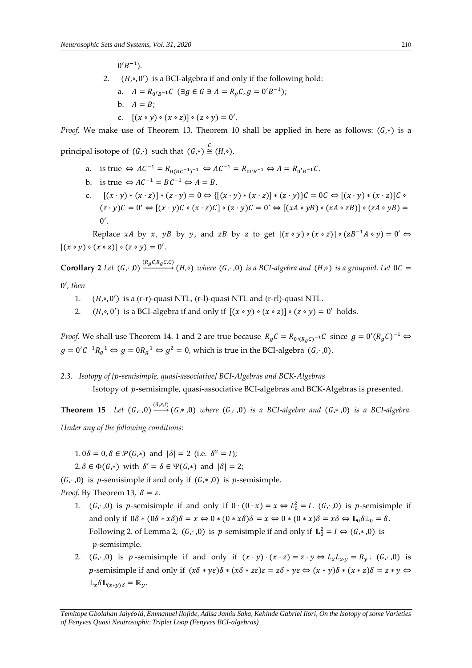$0'B^{-1}$ ).

- 2.  $(H, \circ, 0')$  is a BCI-algebra if and only if the following hold:
	- a.  $A = R_{0'B^{-1}}C$  ( $\exists g \in G \ni A = R_gC, g = 0'B^{-1}$ ); b.  $A = B$ :
		- c.  $[(x \circ y) \circ (x \circ z)] \circ (z \circ y) = 0'.$

*Proof.* We make use of Theorem 13. Theorem 10 shall be applied in here as follows:  $(G,*)$  is a

principal isotope of  $(G, \cdot)$  such that  $(G, \ast) \stackrel{C}{\cong} (H, \circ)$ .

- a. is true  $\Leftrightarrow AC^{-1} = R_{0(BC^{-1})^{-1}} \Leftrightarrow AC^{-1} = R_{0CB^{-1}} \Leftrightarrow A = R_{0'B^{-1}}C$ .
- b. is true  $\Leftrightarrow AC^{-1} = BC^{-1} \Leftrightarrow A = B$ .
- c.  $[(x \cdot y) * (x \cdot z)] * (z \cdot y) = 0 \Leftrightarrow {[(x \cdot y) * (x \cdot z)] * (z \cdot y)}C = 0C \Leftrightarrow [(x \cdot y) * (x \cdot z)]C$  $(z \cdot y)C = 0' \Leftrightarrow [(x \cdot y)C \circ (x \cdot z)C] \circ (z \cdot y)C = 0' \Leftrightarrow [(xA \circ yB) \circ (xA \circ zB)] \circ (zA \circ yB) =$  $0'.$

Replace *xA* by *x*, *yB* by *y*, and *zB* by *z* to get  $[(x \circ y) \circ (x \circ z)] \circ (zB^{-1}A \circ y) = 0' \Leftrightarrow$  $[(x \circ y) \circ (x \circ z)] \circ (z \circ y) = 0'.$ 

 $\bf{Corollary 2}$  *Let*  $(G, \cdot, 0) \xrightarrow{(R_gC, R_gC, C)} (H, \diamond)$  where  $(G, \cdot, 0)$  is a BCI-algebra and  $(H, \diamond)$  is a groupoid. Let  $0C =$ 

0′*, then* 

- 1.  $(H, \circ, 0')$  is a (r-r)-quasi NTL, (r-l)-quasi NTL and (r-rl)-quasi NTL.
- 2.  $(H, \circ, 0')$  is a BCI-algebra if and only if  $[(x \circ y) \circ (x \circ z)] \circ (z \circ y) = 0'$  holds.

*Proof.* We shall use Theorem 14. 1 and 2 are true because  $R_gC = R_{0r(R_gC)^{-1}}C$  since  $g = 0'(R_gC)^{-1} \Leftrightarrow$  $g = 0'C^{-1}R_g^{-1} \Leftrightarrow g = 0R_g^{-1} \Leftrightarrow g^2 = 0$ , which is true in the BCI-algebra  $(G, \cdot, 0)$ .

*2.3. Isotopy of [-semisimple, quasi-associative] BCI-Algebras and BCK-Algebras*

Isotopy of p-semisimple, quasi-associative BCI-algebras and BCK-Algebras is presented.

**Theorem 15** *Let*  $(G, \cdot, 0) \xrightarrow{(S, \varepsilon, I)} (G, \ast, 0)$  *where*  $(G, \cdot, 0)$  *is a BCI-algebra and*  $(G, \ast, 0)$  *is a BCI-algebra. Under any of the following conditions:* 

 $1.0\delta = 0, \delta \in \mathcal{P}(G,*)$  and  $|\delta| = 2$  (i.e.  $\delta^2 = I$ );

 $2.\delta \in \Phi(G,*)$  with  $\delta' = \delta \in \Psi(G,*)$  and  $|\delta| = 2;$ 

 $(G, \cdot, 0)$  is p-semisimple if and only if  $(G, \cdot, 0)$  is p-semisimple.

*Proof.* By Theorem 13,  $\delta = \varepsilon$ .

- 1.  $(G, \cdot, 0)$  is p-semisimple if and only if  $0 \cdot (0 \cdot x) = x \Leftrightarrow L_0^2 = I$ .  $(G, \cdot, 0)$  is p-semisimple if and only if  $0\delta * (0\delta * x\delta)\delta = x \Leftrightarrow 0 * (0 * x\delta)\delta = x \Leftrightarrow 0 * (0 * x)\delta = x\delta \Leftrightarrow \mathbb{L}_0 \delta \mathbb{L}_0 = \delta.$ Following 2. of Lemma 2,  $(G, \cdot, 0)$  is p-semisimple if and only if  $\mathbb{L}^2_0 = I \Leftrightarrow (G, \cdot, 0)$  is -semisimple.
- 2.  $(G, \cdot, 0)$  is  $p$ -semisimple if and only if  $(x \cdot y) \cdot (x \cdot z) = z \cdot y \Leftrightarrow L_x L_{x \cdot y} = R_y$ .  $(G, \cdot, 0)$  is p-semisimple if and only if  $(x\delta * y\epsilon)\delta * (x\delta * z\epsilon)\epsilon = z\delta * y\epsilon \Leftrightarrow (x * y)\delta * (x * z)\delta = z * y \Leftrightarrow$  $\mathbb{L}_{\chi} \delta \mathbb{L}_{(x*y)\delta} = \mathbb{R}_{y}.$

*Temitope Gbolahan Jaiyélá, Emmanuel Ilojide, Adisa Jamiu Saka, Kehinde Gabriel Ilori, On the Isotopy of some Varieties of Fenyves Quasi Neutrosophic Triplet Loop (Fenyves BCI-algebras)*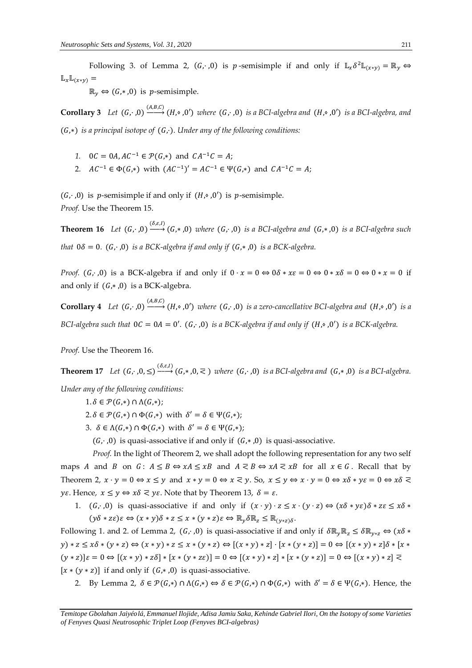Following 3. of Lemma 2,  $(G, \cdot, 0)$  is p-semisimple if and only if  $\mathbb{L}_x \delta^2 \mathbb{L}_{(x \ast y)} = \mathbb{R}_y$  $\mathbb{L}_{x}\mathbb{L}_{(x*y)}$ 

 $\mathbb{R}_{y} \Leftrightarrow (G,*,0)$  is p-semisimple.

**Corollary 3** Let  $(G, \cdot, 0) \xrightarrow{(A, B, C)} (H, \circ, 0')$  where  $(G, \cdot, 0)$  is a BCI-algebra and  $(H, \circ, 0')$  is a BCI-algebra, and (G,\*) *is a principal isotope of* (G,⋅). Under any of the following conditions:

- 1.  $0C = 0A, AC^{-1} \in \mathcal{P}(G,*)$  and  $CA^{-1}C = A;$
- 2.  $AC^{-1} \in \Phi(G,*)$  with  $(AC^{-1})' = AC^{-1} \in \Psi(G,*)$  and  $CA^{-1}C = A;$

 $(G, \cdot, 0)$  is p-semisimple if and only if  $(H, \diamond, 0')$  is p-semisimple. *Proof.* Use the Theorem 15.

**Theorem 16** Let  $(G, \cdot, 0) \xrightarrow{(S, \varepsilon, I)} (G, \cdot, 0)$  where  $(G, \cdot, 0)$  is a BCI-algebra and  $(G, \cdot, 0)$  is a BCI-algebra such *that*  $0\delta = 0$ .  $(G, \cdot, 0)$  *is a BCK-algebra if and only if*  $(G, \ast, 0)$  *is a BCK-algebra.* 

*Proof.* (G,  $, 0$ ) is a BCK-algebra if and only if  $0 \cdot x = 0 \Leftrightarrow 0 \delta \cdot x = 0 \Leftrightarrow 0 \cdot x = 0 \Leftrightarrow 0 \cdot x = 0$  if and only if  $(G, *, 0)$  is a BCK-algebra.

**Corollary 4** Let  $(G, \cdot, 0) \xrightarrow{(A, B, C)} (H, \circ, 0')$  where  $(G, \cdot, 0)$  is a zero-cancellative BCI-algebra and  $(H, \circ, 0')$  is a *BCI-algebra such that*  $0C = 0A = 0'$ .  $(G, \cdot, 0)$  *is a BCK-algebra if and only if*  $(H, \circ, 0')$  *is a BCK-algebra.* 

*Proof.* Use the Theorem 16.

**Theorem 17** *Let*  $(G, \cdot, 0, \leq) \xrightarrow{(S, \varepsilon, I)} (G, * , 0, \leq)$  *where*  $(G, \cdot, 0)$  *is a BCI-algebra and*  $(G, * , 0)$  *is a BCI-algebra.* 

*Under any of the following conditions:* 

- $1.\delta \in \mathcal{P}(G,*) \cap \Lambda(G,*)$ ;
- $2.\delta \in \mathcal{P}(G,*) \cap \Phi(G,*)$  with  $\delta' = \delta \in \Psi(G,*)$ ;
- 3.  $\delta \in \Lambda(G,*) \cap \Phi(G,*)$  with  $\delta' = \delta \in \Psi(G,*)$ ;

 $(G, \cdot, 0)$  is quasi-associative if and only if  $(G, \cdot, 0)$  is quasi-associative.

*Proof.* In the light of Theorem 2, we shall adopt the following representation for any two self maps *A* and *B* on  $G: A \leq B \Leftrightarrow xA \leq xB$  and  $A \leq B \Leftrightarrow xA \leq xB$  for all  $x \in G$ . Recall that by Theorem 2,  $x \cdot y = 0 \Leftrightarrow x \leq y$  and  $x * y = 0 \Leftrightarrow x \leq y$ . So,  $x \leq y \Leftrightarrow x \cdot y = 0 \Leftrightarrow x \delta * y \varepsilon = 0 \Leftrightarrow x \delta \leq y$ *yε*. Hence,  $x \le y \Leftrightarrow x\delta \le y\epsilon$ . Note that by Theorem 13,  $\delta = \epsilon$ .

1.  $(G, \cdot, 0)$  is quasi-associative if and only if  $(x \cdot y) \cdot z \leq x \cdot (y \cdot z) \Leftrightarrow (x \delta * y \epsilon) \delta * z \epsilon \leq x \delta * y \epsilon$  $(y\delta * z\varepsilon)\varepsilon \Leftrightarrow (x * y)\delta * z \leq x * (y * z)\varepsilon \Leftrightarrow \mathbb{R}_{v}\delta\mathbb{R}_{z} \leq \mathbb{R}_{(v * z)\delta}$ .

Following 1. and 2. of Lemma 2,  $(G, \cdot, 0)$  is quasi-associative if and only if  $\delta \mathbb{R}_{v} \mathbb{R}_{z} \leq \delta \mathbb{R}_{v \times z} \Leftrightarrow (x \delta *$  $(y) * z \leq x\delta * (y * z) \Leftrightarrow (x * y) * z \leq x * (y * z) \Leftrightarrow [(x * y) * z] \cdot [x * (y * z)] = 0 \Leftrightarrow [(x * y) * z] \delta * [x * y]$  $(y * z) | \varepsilon = 0 \Leftrightarrow [(x * y) * z \delta] * [x * (y * z \varepsilon)] = 0 \Leftrightarrow [(x * y) * z] * [x * (y * z)] = 0 \Leftrightarrow [(x * y) * z] \le$  $[x * (y * z)]$  if and only if  $(G, *, 0)$  is quasi-associative.

2. By Lemma 2,  $\delta \in \mathcal{P}(G,*) \cap \Lambda(G,*) \Leftrightarrow \delta \in \mathcal{P}(G,*) \cap \Phi(G,*)$  with  $\delta' = \delta \in \Psi(G,*)$ . Hence, the

*Temitope Gbolahan Jaiyélá, Emmanuel Ilojide, Adisa Jamiu Saka, Kehinde Gabriel Ilori, On the Isotopy of some Varieties of Fenyves Quasi Neutrosophic Triplet Loop (Fenyves BCI-algebras)*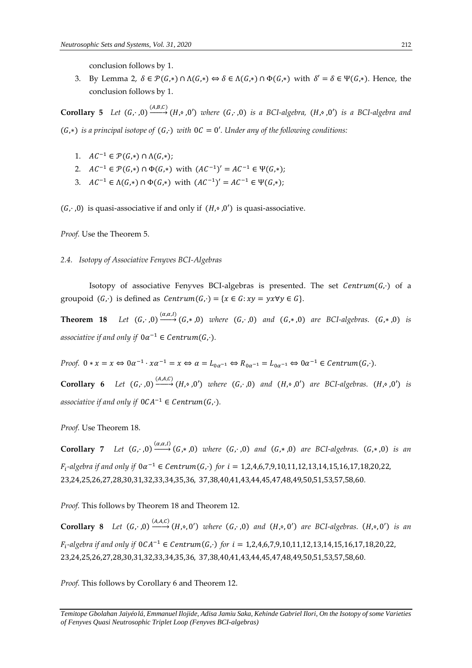conclusion follows by 1.

3. By Lemma 2,  $\delta \in \mathcal{P}(G,*) \cap \Lambda(G,*) \Leftrightarrow \delta \in \Lambda(G,*) \cap \Phi(G,*)$  with  $\delta' = \delta \in \Psi(G,*)$ . Hence, the conclusion follows by 1.

**Corollary 5** *Let*  $(G, \cdot, 0) \xrightarrow{(A, B, C)} (H, \circ, 0')$  *where*  $(G, \cdot, 0)$  *is a BCI-algebra,*  $(H, \circ, 0')$  *is a BCI-algebra and* (G,\*) is a principal isotope of (G,·) with  $0C = 0'$ . Under any of the following conditions:

- 1.  $AC^{-1} \in \mathcal{P}(G,*) \cap \Lambda(G,*)$ ;
- 2.  $AC^{-1} \in \mathcal{P}(G,*) \cap \Phi(G,*)$  with  $(AC^{-1})' = AC^{-1} \in \Psi(G,*)$ ;
- 3.  $AC^{-1} \in \Lambda(G,*) \cap \Phi(G,*)$  with  $(AC^{-1})' = AC^{-1} \in \Psi(G,*)$ ;

 $(G, \cdot, 0)$  is quasi-associative if and only if  $(H, \diamond, 0')$  is quasi-associative.

*Proof.* Use the Theorem 5.

## *2.4. Isotopy of Associative Fenyves BCI-Algebras*

Isotopy of associative Fenyves BCI-algebras is presented. The set  $Centrum(G,·)$  of a groupoid  $(G, \cdot)$  is defined as  $Centrum(G, \cdot) = \{x \in G : xy = yx \forall y \in G\}.$ 

**Theorem 18** *Let*  $(G, \cdot, 0) \xrightarrow{(\alpha, \alpha, I)} (G, \ast, 0)$  *where*  $(G, \cdot, 0)$  *and*  $(G, \ast, 0)$  *are BCI-algebras.*  $(G, \ast, 0)$  *is* associative if and only if  $0\alpha^{-1} \in Centrum(G,\cdot)$ .

*Proof.*  $0 * x = x \Leftrightarrow 0 \alpha^{-1} \cdot x \alpha^{-1} = x \Leftrightarrow \alpha = L_{0\alpha^{-1}} \Leftrightarrow R_{0\alpha^{-1}} = L_{0\alpha^{-1}} \Leftrightarrow 0 \alpha^{-1} \in Centrum(G, \cdot).$ 

**Corollary 6** *Let*  $(G, \cdot, 0) \xrightarrow{(A, A, C)} (H, \circ, 0')$  *where*  $(G, \cdot, 0)$  *and*  $(H, \circ, 0')$  *are BCI-algebras.*  $(H, \circ, 0')$  *is* associative if and only if  $0CA^{-1} \in Centrum(G,\cdot)$ .

*Proof.* Use Theorem 18.

**Corollary** 7 Let  $(G, \cdot, 0) \xrightarrow{(\alpha, \alpha, I)} (G, \ast, 0)$  where  $(G, \cdot, 0)$  and  $(G, \ast, 0)$  are BCI-algebras.  $(G, \ast, 0)$  is an  $F_i$ -algebra if and only if  $0\alpha^{-1} \in Centrum(G, \cdot)$  for  $i = 1,2,4,6,7,9,10,11,12,13,14,15,16,17,18,20,22,$ 23,24,25,26,27,28,30,31,32,33,34,35,36, 37,38,40,41,43,44,45,47,48,49,50,51,53,57,58,60*.* 

*Proof.* This follows by Theorem 18 and Theorem 12.

**Corollary 8** Let  $(G, \cdot, 0) \xrightarrow{(A, A, C)} (H, \circ, 0')$  where  $(G, \cdot, 0)$  and  $(H, \circ, 0')$  are BCI-algebras.  $(H, \circ, 0')$  is an  $F_i$ -algebra if and only if 0CA<sup>-1</sup> ∈ Centrum(G,·) for  $i = 1,2,4,6,7,9,10,11,12,13,14,15,16,17,18,20,22,$ 23,24,25,26,27,28,30,31,32,33,34,35,36, 37,38,40,41,43,44,45,47,48,49,50,51,53,57,58,60*.* 

*Proof.* This follows by Corollary 6 and Theorem 12.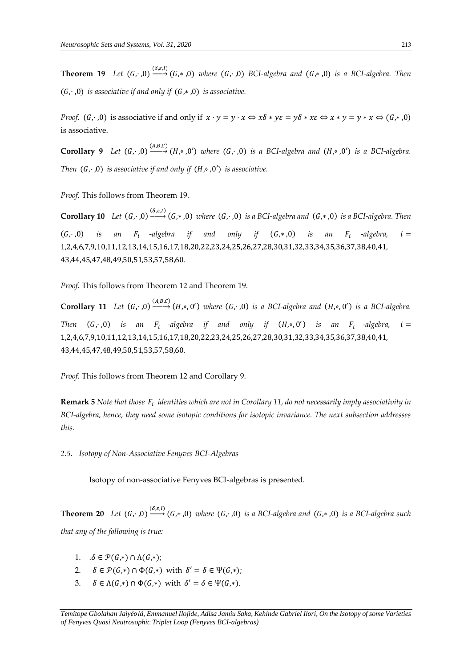**Theorem 19** Let  $(G, \cdot, 0) \xrightarrow{( \delta, \varepsilon, I)} (G, \ast, 0)$  where  $(G, \cdot, 0)$  BCI-algebra and  $(G, \ast, 0)$  is a BCI-algebra. Then  $(G, \cdot, 0)$  *is associative if and only if*  $(G, *, 0)$  *is associative.* 

*Proof.*  $(G, \cdot, 0)$  is associative if and only if  $x \cdot y = y \cdot x \Leftrightarrow x \delta * y \varepsilon = y \delta * x \varepsilon \Leftrightarrow x * y = y * x \Leftrightarrow (G, * , 0)$ is associative.

**Corollary 9** *Let*  $(G, \cdot, 0) \xrightarrow{(A, B, C)} (H, \circ, 0')$  where  $(G, \cdot, 0)$  is a BCI-algebra and  $(H, \circ, 0')$  is a BCI-algebra. *Then*  $(G, \cdot, 0)$  *is associative if and only if*  $(H, \circ, 0')$  *is associative.* 

*Proof.* This follows from Theorem 19.

*Let* $(G, \cdot, 0) \xrightarrow{(S, \varepsilon, l)} (G, \cdot, 0)$ *where* $(G, \cdot, 0)$ *is a BCI-algebra and* $(G, \cdot, 0)$ *is a BCI-algebra. Then*  $(G, \cdot, 0)$  is an  $F_i$  -algebra if and only if  $(G, \ast, 0)$  is an  $F_i$  $F_i$  -algebra,  $i =$ 1,2,4,6,7,9,10,11,12,13,14,15,16,17,18,20,22,23,24,25,26,27,28,30,31,32,33,34,35,36,37,38,40,41, 43,44,45,47,48,49,50,51,53,57,58,60*.* 

*Proof.* This follows from Theorem 12 and Theorem 19.

**Corollary 11** Let  $(G, \cdot, 0) \xrightarrow{(A,B,C)} (H, \circ, 0')$  where  $(G, \cdot, 0)$  is a BCI-algebra and  $(H, \circ, 0')$  is a BCI-algebra. *Then*  $(G, ., 0)$  *is an F<sub>i</sub>* -algebra if and only if  $(H, \circ, 0')$  *is an F<sub>i</sub>* -algebra, *i* = 1,2,4,6,7,9,10,11,12,13,14,15,16,17,18,20,22,23,24,25,26,27,28,30,31,32,33,34,35,36,37,38,40,41, 43,44,45,47,48,49,50,51,53,57,58,60*.* 

*Proof.* This follows from Theorem 12 and Corollary 9.

 ${\bf Remark~5}$  Note that those  $\,F_i\,$  identities which are not in Corollary 11, do not necessarily imply associativity in *BCI-algebra, hence, they need some isotopic conditions for isotopic invariance. The next subsection addresses this.* 

*2.5. Isotopy of Non-Associative Fenyves BCI-Algebras*

Isotopy of non-associative Fenyves BCI-algebras is presented.

**Theorem 20** *Let*  $(G, \cdot, 0) \xrightarrow{(\delta, \varepsilon, I)} (G, \cdot, 0)$  *where*  $(G, \cdot, 0)$  *is a BCI-algebra and*  $(G, \cdot, 0)$  *is a BCI-algebra such that any of the following is true:* 

- 1.  $\delta \in \mathcal{P}(G,*) \cap \Lambda(G,*)$ ;
- 2.  $\delta \in \mathcal{P}(G,*) \cap \Phi(G,*)$  with  $\delta' = \delta \in \Psi(G,*)$ ;
- 3.  $\delta \in \Lambda(G,*) \cap \Phi(G,*)$  with  $\delta' = \delta \in \Psi(G,*)$ .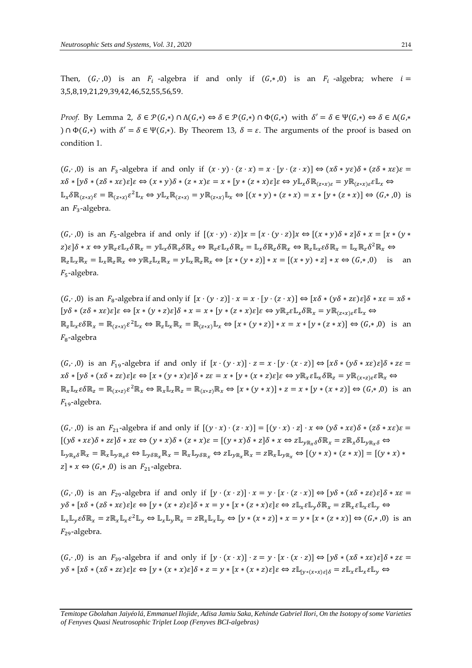*Proof.* By Lemma 2,  $\delta \in \mathcal{P}(G,*) \cap \Lambda(G,*) \Leftrightarrow \delta \in \mathcal{P}(G,*) \cap \Phi(G,*)$  with  $\delta' = \delta \in \Psi(G,*) \Leftrightarrow \delta \in \Lambda(G,*)$ )  $\cap$   $\Phi(G,*)$  with  $\delta' = \delta \in \Psi(G,*)$ . By Theorem 13,  $\delta = \varepsilon$ . The arguments of the proof is based on condition 1.

 $(G, 0)$  is an  $F_3$ -algebra if and only if  $(x \cdot y) \cdot (z \cdot x) = x \cdot [y \cdot (z \cdot x)] \Leftrightarrow (x \delta * y \epsilon) \delta * (z \delta * x \epsilon) \epsilon =$  $x\delta * [y\delta * (z\delta * x\epsilon)\epsilon]\epsilon \Leftrightarrow (x * y)\delta * (z * x)\epsilon = x * [y * (z * x)\epsilon]\epsilon \Leftrightarrow y\mathbb{L}_x \delta \mathbb{R}_{(z * x)\epsilon} = y\mathbb{R}_{(z * x)\epsilon}\epsilon\mathbb{L}_x \Leftrightarrow$  $\mathbb{L}_x \delta \mathbb{R}_{(z*x)} \varepsilon = \mathbb{R}_{(z*x)} \varepsilon^2 \mathbb{L}_x \Leftrightarrow y \mathbb{L}_x \mathbb{R}_{(z*x)} = y \mathbb{R}_{(z*x)} \mathbb{L}_x \Leftrightarrow [(x*y)*(z*x) = x*[y*(z*x)] \Leftrightarrow (G, *0)$  is an  $F_3$ -algebra.

 $(G, ., 0)$  is an  $F_5$ -algebra if and only if  $[(x \cdot y) \cdot z)]x = [x \cdot (y \cdot z)]x \Leftrightarrow [(x * y)\delta * z]\delta * x = [x * (y * y)]$  $(z) \in \delta * x \Leftrightarrow y \mathbb{R}_z \varepsilon \mathbb{L}_x \delta \mathbb{R}_x = y \mathbb{L}_x \delta \mathbb{R}_z \Leftrightarrow \mathbb{R}_z \varepsilon \mathbb{L}_x \delta \mathbb{R}_x = \mathbb{L}_x \delta \mathbb{R}_z \delta \mathbb{R}_x \Leftrightarrow \mathbb{R}_z \mathbb{L}_x \varepsilon \delta \mathbb{R}_x = \mathbb{L}_x \mathbb{R}_z \delta^2 \mathbb{R}_x \Leftrightarrow$  $\mathbb{R}_r \mathbb{L}_r \mathbb{R}_r = \mathbb{L}_r \mathbb{R}_r \mathbb{R}_r \Leftrightarrow y \mathbb{R}_r \mathbb{L}_r \mathbb{R}_r \Rightarrow y \mathbb{L}_r \mathbb{R}_r \mathbb{R}_r \Leftrightarrow [x * (y * z)] * x = [(x * y) * z] * x \Leftrightarrow (G, *0)$  is an  $F_5$ -algebra.

 $(G, ., 0)$  is an  $F_8$ -algebra if and only if  $[x \cdot (y \cdot z)] \cdot x = x \cdot [y \cdot (z \cdot x)] \Leftrightarrow [x \delta * (y \delta * z \epsilon) \epsilon] \delta * x \epsilon = x \delta *$  $[y\delta * (z\delta * x\epsilon)\epsilon]\epsilon \Leftrightarrow [x * (y * z)\epsilon]\delta * x = x * [y * (z * x)\epsilon]\epsilon \Leftrightarrow y \mathbb{R}_z \epsilon \mathbb{L}_x \delta \mathbb{R}_x = y \mathbb{R}_{(z * x)\epsilon} \epsilon \mathbb{L}_x \Leftrightarrow$  $\mathbb{R}_z \mathbb{L}_x \varepsilon \delta \mathbb{R}_x = \mathbb{R}_{(z \ast x)} \varepsilon^2 \mathbb{L}_x \Leftrightarrow \mathbb{R}_z \mathbb{L}_x \mathbb{R}_x = \mathbb{R}_{(z \ast x)} \mathbb{L}_x \Leftrightarrow [x \ast (y \ast z)] \ast x = x \ast [y \ast (z \ast x)] \Leftrightarrow (G, \ast, 0) \text{ is an }$  $F_8$ -algebra

 $(G, ., 0)$  is an  $F_{19}$ -algebra if and only if  $[x \cdot (y \cdot x)] \cdot z = x \cdot [y \cdot (x \cdot z)] \Leftrightarrow [x \delta * (y \delta * x \epsilon) \epsilon] \delta * z \epsilon =$  $x\delta * [y\delta * (x\delta * z\epsilon)\epsilon]\epsilon \Leftrightarrow [x * (y * x)\epsilon]\delta * z\epsilon = x * [y * (x * z)\epsilon]\epsilon \Leftrightarrow y \mathbb{R}_{x} \epsilon \mathbb{L}_{x} \delta \mathbb{R}_{z} = y \mathbb{R}_{(x * z)\epsilon} \epsilon \mathbb{R}_{x} \Leftrightarrow$  $\mathbb{R}_x \mathbb{L}_x \varepsilon \delta \mathbb{R}_z = \mathbb{R}_{(x \ast z)} \varepsilon^2 \mathbb{R}_x \Leftrightarrow \mathbb{R}_x \mathbb{L}_x \mathbb{R}_z = \mathbb{R}_{(x \ast z)} \mathbb{R}_x \Leftrightarrow [x \ast (y \ast x)] \ast z = x \ast [y \ast (x \ast z)] \Leftrightarrow (G, \ast, 0) \text{ is an }$  $F_{19}$ -algebra.

 $(G, ., 0)$  is an  $F_{21}$ -algebra if and only if  $[(y \cdot x) \cdot (z \cdot x)] = [(y \cdot x) \cdot z] \cdot x \Leftrightarrow (y \delta * x \epsilon) \delta * (z \delta * x \epsilon) \epsilon =$  $[(y\delta * x\varepsilon)\delta * z\varepsilon]\delta * x\varepsilon \Leftrightarrow (y * x)\delta * (z * x)\varepsilon = [(y * x)\delta * z]\delta * x \Leftrightarrow z\mathbb{L}_{v\mathbb{R}\backslash \delta}\delta\mathbb{R}_x = z\mathbb{R}_x \delta\mathbb{L}_{v\mathbb{R}\backslash \delta} \Leftrightarrow$  $\mathbb{L}_{y\mathbb{R}_x\delta}\mathbb{R}_x=\mathbb{R}_x\mathbb{L}_{y\mathbb{R}_x\delta}\Leftrightarrow \mathbb{L}_{y\delta\mathbb{R}_x}\mathbb{R}_x=\mathbb{R}_x\mathbb{L}_{y\delta\mathbb{R}_x}\Leftrightarrow z\mathbb{L}_{y\mathbb{R}_x}\mathbb{R}_x=z\mathbb{R}_x\mathbb{L}_{y\mathbb{R}_x}\Leftrightarrow [(y*x)*(z*x)] = [(y*x)*z]$  $|z| * x \Leftrightarrow (G,*,0)$  is an  $F_{21}$ -algebra.

 $(G, ., 0)$  is an  $F_{29}$ -algebra if and only if  $[y \cdot (x \cdot z)] \cdot x = y \cdot [x \cdot (z \cdot x)] \Leftrightarrow [y \delta * (x \delta * z \epsilon) \epsilon] \delta * x \epsilon =$  $y\delta * [x\delta * (z\delta * x\epsilon)\epsilon]\epsilon \Leftrightarrow [y * (x * z)\epsilon]\delta * x = y * [x * (z * x)\epsilon]\epsilon \Leftrightarrow z\mathbb{L}_x\epsilon\mathbb{L}_v\delta\mathbb{R}_x = z\mathbb{R}_x\epsilon\mathbb{L}_x\epsilon\mathbb{L}_v \Leftrightarrow$  $\mathbb{L}_x \mathbb{L}_y \varepsilon \delta \mathbb{R}_x = z \mathbb{R}_x \mathbb{L}_x \varepsilon^2 \mathbb{L}_y \Leftrightarrow \mathbb{L}_x \mathbb{L}_y \mathbb{R}_x = z \mathbb{R}_x \mathbb{L}_x \mathbb{L}_y \Leftrightarrow [y * (x * z)] * x = y * [x * (z * x)] \Leftrightarrow (G, *, 0) \text{ is an }$  $F_{29}$ -algebra.

 $(G, ., 0)$  is an  $F_{39}$ -algebra if and only if  $[y \cdot (x \cdot x)] \cdot z = y \cdot [x \cdot (x \cdot z)] \Leftrightarrow [y \delta * (x \delta * x \epsilon) \epsilon] \delta * z \epsilon =$  $y\delta * [x\delta * (x\delta * z\epsilon)\epsilon]\epsilon \Leftrightarrow [y * (x * x)\epsilon]\delta * z = y * [x * (x * z)\epsilon]\epsilon \Leftrightarrow z\mathbb{L}_{[y * (x * x)\epsilon]\delta} = z\mathbb{L}_{x}\epsilon\mathbb{L}_{x}\epsilon\mathbb{L}_{y} \Leftrightarrow$ 

*Temitope Gbolahan Jaiyélá, Emmanuel Ilojide, Adisa Jamiu Saka, Kehinde Gabriel Ilori, On the Isotopy of some Varieties of Fenyves Quasi Neutrosophic Triplet Loop (Fenyves BCI-algebras)*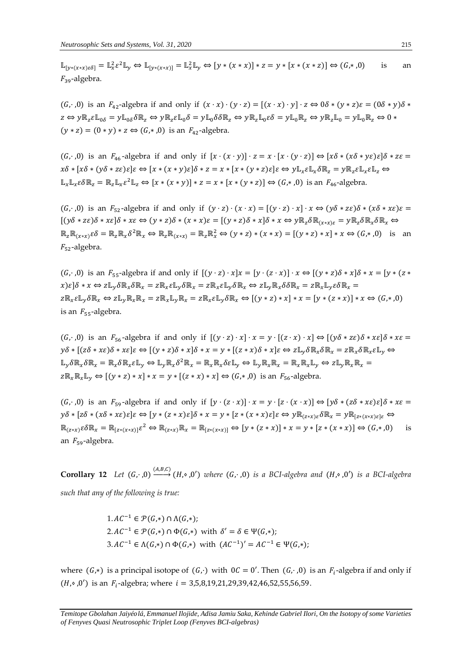$\mathbb{L}_{[y*(x*x)\in\delta]} = \mathbb{L}_{x}^{2}\varepsilon^{2}\mathbb{L}_{y} \Leftrightarrow \mathbb{L}_{[y*(x*x)]} = \mathbb{L}_{x}^{2}\mathbb{L}_{y} \Leftrightarrow [y*(x*x)] * z = y * [x*(x*z)] \Leftrightarrow (G,*,0)$  is an  $F_{39}$ -algebra.

 $(G, ., 0)$  is an  $F_{42}$ -algebra if and only if  $(x \cdot x) \cdot (y \cdot z) = [(x \cdot x) \cdot y] \cdot z \Leftrightarrow 0 \delta * (y * z) \varepsilon = (0 \delta * y) \delta *$  $z \Leftrightarrow y\mathbb{R}_z\varepsilon\mathbb{L}_{0\delta} = y\mathbb{L}_{0\delta}\delta\mathbb{R}_z \Leftrightarrow y\mathbb{R}_z\varepsilon\mathbb{L}_0\delta = y\mathbb{L}_0\delta\delta\mathbb{R}_z \Leftrightarrow y\mathbb{R}_z\mathbb{L}_0\varepsilon\delta = y\mathbb{L}_0\mathbb{R}_z \Leftrightarrow y\mathbb{R}_z\mathbb{L}_0 = y\mathbb{L}_0\mathbb{R}_z \Leftrightarrow 0 \Leftrightarrow y\mathbb{R}_z\mathbb{L}_0 = y\mathbb{L}_0\mathbb{R}_z \Leftrightarrow 0 \$  $(y * z) = (0 * y) * z \Leftrightarrow (G, * , 0)$  is an  $F_{42}$ -algebra.

 $(G, ., 0)$  is an  $F_{46}$ -algebra if and only if  $[x \cdot (x \cdot y)] \cdot z = x \cdot [x \cdot (y \cdot z)] \Leftrightarrow [x \delta * (x \delta * y \epsilon) \epsilon] \delta * z \epsilon =$  $x\delta * [x\delta * (y\delta * z\epsilon)\epsilon]\epsilon \Leftrightarrow [x * (x * y)\epsilon]\delta * z = x * [x * (y * z)\epsilon]\epsilon \Leftrightarrow y\mathbb{L}_r \epsilon \mathbb{L}_r \delta \mathbb{R}_z = y\mathbb{R}_z \epsilon \mathbb{L}_r \epsilon \mathbb{L}_z \Leftrightarrow$  $\mathbb{L}_x \mathbb{L}_x \varepsilon \delta \mathbb{R}_z = \mathbb{R}_z \mathbb{L}_x \varepsilon^2 \mathbb{L}_z \Leftrightarrow [x * (x * y)] * z = x * [x * (y * z)] \Leftrightarrow (G, *, 0) \text{ is an } F_{46} \text{-algebra.}$ 

 $(G, 0)$  is an  $F_{52}$ -algebra if and only if  $(y \cdot z) \cdot (x \cdot x) = [(y \cdot z) \cdot x] \cdot x \Leftrightarrow (y \delta * z \epsilon) \delta * (x \delta * x \epsilon) \epsilon =$  $[(y\delta * z\varepsilon)\delta * x\varepsilon]\delta * x\varepsilon \Leftrightarrow (y * z)\delta * (x * x)\varepsilon = [(y * z)\delta * x]\delta * x \Leftrightarrow y\mathbb{R}_z \delta \mathbb{R}_{(x * x)\varepsilon} = y\mathbb{R}_z \delta \mathbb{R}_x \delta \mathbb{R}_x \Leftrightarrow (y * z)\delta * x \Leftrightarrow (y * z)\delta * x \Leftrightarrow (y * z)\delta * x \Leftrightarrow (y * z)\delta * x \Leftrightarrow (y * z)\delta * x \Leftrightarrow (y * z)\delta * x \Leftrightarrow (y * z)\delta * x \Leftrightarrow (y * z)\delta * x \Lef$  $\mathbb{R}_z \mathbb{R}_{(x*x)} \varepsilon \delta = \mathbb{R}_z \mathbb{R}_x \delta^2 \mathbb{R}_x \Leftrightarrow \mathbb{R}_z \mathbb{R}_{(x*x)} = \mathbb{R}_z \mathbb{R}_x^2 \Leftrightarrow (y*z)*(x*x) = [(y*z)*x]*x \Leftrightarrow (G,*,0) \text{ is an }$  $F_{52}$ -algebra.

 $(G, ., 0)$  is an  $F_{55}$ -algebra if and only if  $[(y \cdot z) \cdot x]x = [y \cdot (z \cdot x)] \cdot x \Leftrightarrow [(y * z)\delta * x] \delta * x = [y * (z * x)] \delta * x$  $x) \in [\delta * x \Leftrightarrow z \mathbb{L}_v \delta \mathbb{R}_x \in \mathbb{Z} \mathbb{R}_x \in \mathbb{L}_v \delta \mathbb{R}_x = z \mathbb{R}_x \varepsilon \mathbb{L}_v \delta \mathbb{R}_x \Leftrightarrow z \mathbb{L}_v \mathbb{R}_x \delta \delta \mathbb{R}_x = z \mathbb{R}_x \mathbb{L}_v \varepsilon \delta \mathbb{R}_x = \delta \mathbb{R}_x \varepsilon \delta \mathbb{R}_x$  $Z\mathbb{R}_x \in \mathbb{L}_v \delta\mathbb{R}_x \Leftrightarrow Z\mathbb{L}_v \mathbb{R}_x \mathbb{R}_x = Z\mathbb{R}_x \mathbb{L}_v \mathbb{R}_x = Z\mathbb{R}_x \epsilon \mathbb{L}_v \delta\mathbb{R}_x \Leftrightarrow [(y * z) * x] * x = [y * (z * x)] * x \Leftrightarrow (G, * , 0)]$ is an  $F_{55}$ -algebra.

 $(G, ., 0)$  is an  $F_{56}$ -algebra if and only if  $[(y \cdot z) \cdot x] \cdot x = y \cdot [(z \cdot x) \cdot x] \Leftrightarrow [(y \delta * z \epsilon) \delta * x \epsilon] \delta * x \epsilon =$  $y\delta * [(z\delta * x\epsilon)\delta * x\epsilon]\epsilon \Leftrightarrow [(y * z)\delta * x]\delta * x = y * [(z * x)\delta * x]\epsilon \Leftrightarrow z\mathbb{L}_v \delta\mathbb{R}_x \delta\mathbb{R}_x = z\mathbb{R}_x \delta\mathbb{R}_x \epsilon\mathbb{L}_v \Leftrightarrow$  $\mathbb{L}_y\delta\mathbb{R}_x\delta\mathbb{R}_x=\mathbb{R}_x\delta\mathbb{R}_x\epsilon\mathbb{L}_y\Leftrightarrow\mathbb{L}_y\mathbb{R}_x\delta^2\mathbb{R}_x=\mathbb{R}_x\mathbb{R}_x\delta\epsilon\mathbb{L}_y\Leftrightarrow\mathbb{L}_y\mathbb{R}_x\mathbb{R}_x=\mathbb{R}_x\mathbb{R}_x\mathbb{L}_y\Leftrightarrow z\mathbb{L}_y\mathbb{R}_x\mathbb{R}_x=0$  $z\mathbb{R}_x\mathbb{R}_x\mathbb{L}_v \Leftrightarrow [(y * z) * x] * x = y * [(z * x) * x] \Leftrightarrow (G, * , 0)$  is an  $F_{56}$ -algebra.

 $(G, ., 0)$  is an  $F_{59}$ -algebra if and only if  $[y \cdot (z \cdot x)] \cdot x = y \cdot [z \cdot (x \cdot x)] \Leftrightarrow [y \delta * (z \delta * x \epsilon) \epsilon] \delta * x \epsilon =$  $y\delta * [z\delta * (x\delta * x\varepsilon)\varepsilon]\varepsilon \Leftrightarrow [y * (z * x)\varepsilon]\delta * x = y * [z * (x * x)\varepsilon]\varepsilon \Leftrightarrow y \mathbb{R}_{(z * x)\varepsilon}\delta \mathbb{R}_x = y \mathbb{R}_{[z * (x * x)\varepsilon]\varepsilon} \Leftrightarrow$  $\mathbb{R}_{(z*x)} \varepsilon \delta \mathbb{R}_x = \mathbb{R}_{[z*(x*x)]} \varepsilon^2 \Leftrightarrow \mathbb{R}_{(z*x)} \mathbb{R}_x = \mathbb{R}_{[z*(x*x)]} \Leftrightarrow [y*(z*x)] * x = y*[z*(x*x)] \Leftrightarrow (G,*,0)$  is an  $F_{59}$ -algebra.

**Corollary 12** *Let*  $(G, \cdot, 0) \xrightarrow{(A, B, C)} (H, \circ, 0')$  *where*  $(G, \cdot, 0)$  *is a BCI-algebra and*  $(H, \circ, 0')$  *is a BCI-algebra such that any of the following is true:* 

> $1.AC^{-1} \in \mathcal{P}(G,*) \cap \Lambda(G,*)$ ;  $2.AC^{-1} \in \mathcal{P}(G,*) \cap \Phi(G,*)$  with  $\delta' = \delta \in \Psi(G,*)$ ; 3.  $AC^{-1} \in \Lambda(G,*) \cap \Phi(G,*)$  with  $(AC^{-1})' = AC^{-1} \in \Psi(G,*)$ ;

where  $(G,*)$  is a principal isotope of  $(G, \cdot)$  with  $0C = 0'$ . Then  $(G, \cdot, 0)$  is an  $F_i$ -algebra if and only if  $(H, \circ, 0')$  is an  $F_i$ -algebra; where  $i = 3,5,8,19,21,29,39,42,46,52,55,56,59$ .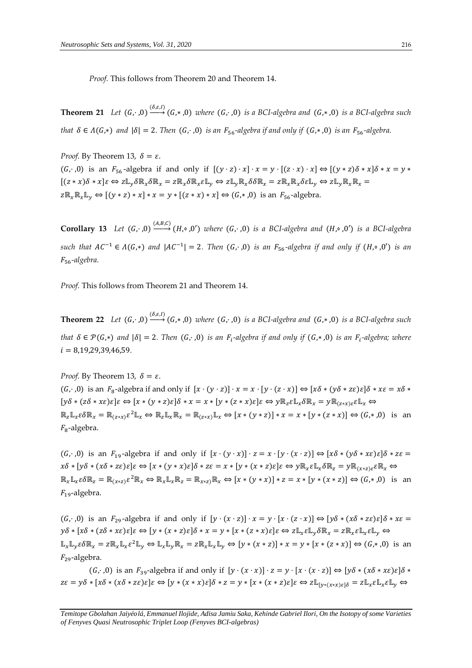*Proof.* This follows from Theorem 20 and Theorem 14.

**Theorem 21** *Let*  $(G, \cdot, 0) \xrightarrow{(S, \varepsilon, I)} (G, \cdot, 0)$  *where*  $(G, \cdot, 0)$  *is a BCI-algebra and*  $(G, \cdot, 0)$  *is a BCI-algebra such that*  $\delta \in A(G,*)$  *and*  $|\delta| = 2$ . Then  $(G, \cdot, 0)$  *is an*  $F_{56}$ -algebra if and only if  $(G,*,0)$  *is an*  $F_{56}$ -algebra.

*Proof.* By Theorem 13,  $\delta = \varepsilon$ .  $(G, 0)$  is an  $F_{56}$ -algebra if and only if  $[(y \cdot z) \cdot x] \cdot x = y \cdot [(z \cdot x) \cdot x] \Leftrightarrow [(y * z) \delta * x] \delta * x = y *$  $[(z * x)\delta * x]\varepsilon \Leftrightarrow z\mathbb{L}_y \delta \mathbb{R}_x \delta \mathbb{R}_x = z\mathbb{R}_x \delta \mathbb{R}_x \varepsilon \mathbb{L}_y \Leftrightarrow z\mathbb{L}_y \mathbb{R}_x \delta \delta \mathbb{R}_x = z\mathbb{R}_x \mathbb{R}_x \delta \varepsilon \mathbb{L}_y \Leftrightarrow z\mathbb{L}_y \mathbb{R}_x \mathbb{R}_x = z\mathbb{R}_y \varepsilon \mathbb{R}_y$  $z\mathbb{R}_x\mathbb{R}_x\mathbb{L}_v \Leftrightarrow [(y * z) * x] * x = y * [(z * x) * x] \Leftrightarrow (G,*,0)$  is an  $F_{56}$ -algebra.

**Corollary 13** *Let*  $(G, \cdot, 0) \xrightarrow{(A, B, C)} (H, \circ, 0')$  *where*  $(G, \cdot, 0)$  *is a BCI-algebra and*  $(H, \circ, 0')$  *is a BCI-algebra*  $such$  that  $AC^{-1} \in \Lambda(G,*)$  and  $|AC^{-1}| = 2$ . Then  $(G,·,0)$  is an  $F_{56}$ -algebra if and only if  $(H, ∘, 0')$  is an 56*-algebra.* 

*Proof.* This follows from Theorem 21 and Theorem 14.

**Theorem 22** *Let*  $(G, \cdot, 0) \xrightarrow{( \delta, \varepsilon, I)} (G, \cdot, 0)$  *where*  $(G, \cdot, 0)$  *is a BCI-algebra and*  $(G, \cdot, 0)$  *is a BCI-algebra such that*  $\delta \in \mathcal{P}(G,*)$  and  $|\delta| = 2$ . Then  $(G,·,0)$  *is an F*<sub>i</sub>-algebra *if and only if*  $(G,∗,0)$  *is an F*<sub>i</sub>-algebra; where = 8,19,29,39,46,59*.* 

*Proof.* By Theorem 13,  $\delta = \varepsilon$ .  $(G, ., 0)$  is an  $F_8$ -algebra if and only if  $[x \cdot (y \cdot z)] \cdot x = x \cdot [y \cdot (z \cdot x)] \Leftrightarrow [x \delta * (y \delta * z \epsilon) \epsilon] \delta * x \epsilon = x \delta *$  $[y\delta * (z\delta * x\epsilon)\epsilon]\epsilon \Leftrightarrow [x * (y * z)\epsilon]\delta * x = x * [y * (z * x)\epsilon]\epsilon \Leftrightarrow y \mathbb{R}_z \epsilon \mathbb{L}_x \delta \mathbb{R}_x = y \mathbb{R}_{(z * x)\epsilon} \epsilon \mathbb{L}_x \Leftrightarrow y \mathbb{R}_x \epsilon \mathbb{L}_x \delta \mathbb{R}_x$  $\mathbb{R}_z \mathbb{L}_x \varepsilon \delta \mathbb{R}_x = \mathbb{R}_{(z \ast x)} \varepsilon^2 \mathbb{L}_x \Leftrightarrow \mathbb{R}_z \mathbb{L}_x \mathbb{R}_x = \mathbb{R}_{(z \ast x)} \mathbb{L}_x \Leftrightarrow [x \ast (y \ast z)] \ast x = x \ast [y \ast (z \ast x)] \Leftrightarrow (G, \ast, 0) \text{ is an }$  $F_8$ -algebra.

 $(G, ., 0)$  is an  $F_{19}$ -algebra if and only if  $[x \cdot (y \cdot x)] \cdot z = x \cdot [y \cdot (x \cdot z)] \Leftrightarrow [x \delta * (y \delta * x \epsilon) \epsilon] \delta * z \epsilon =$  $x\delta * [y\delta * (x\delta * z\epsilon)\epsilon]\epsilon \Leftrightarrow [x * (y * x)\epsilon]\delta * z\epsilon = x * [y * (x * z)\epsilon]\epsilon \Leftrightarrow y\mathbb{R}_x \epsilon \mathbb{L}_x \delta \mathbb{R}_z = y\mathbb{R}_{(x * z)\epsilon}\epsilon \mathbb{R}_x \Leftrightarrow$  $\mathbb{R}_x \mathbb{L}_x \varepsilon \delta \mathbb{R}_z = \mathbb{R}_{(x \ast z)} \varepsilon^2 \mathbb{R}_x \Leftrightarrow \mathbb{R}_x \mathbb{L}_x \mathbb{R}_z = \mathbb{R}_{x \ast z} \mathbb{R}_x \Leftrightarrow [x \ast (y \ast x)] \ast z = x \ast [y \ast (x \ast z)] \Leftrightarrow (G, \ast, 0) \text{ is an }$  $F_{19}$ -algebra.

 $(G, ., 0)$  is an  $F_{29}$ -algebra if and only if  $[y \cdot (x \cdot z)] \cdot x = y \cdot [x \cdot (z \cdot x)] \Leftrightarrow [y \delta * (x \delta * z \epsilon) \epsilon] \delta * x \epsilon =$  $y\delta * [x\delta * (z\delta * x\epsilon)\epsilon]\epsilon \Leftrightarrow [y * (x * z)\epsilon]\delta * x = y * [x * (z * x)\epsilon]\epsilon \Leftrightarrow z\mathbb{L}_x \epsilon \mathbb{L}_y \delta \mathbb{R}_x = z\mathbb{R}_x \epsilon \mathbb{L}_y \epsilon \mathbb{L}_y \Leftrightarrow$  $\mathbb{L}_x \mathbb{L}_y \varepsilon \delta \mathbb{R}_x = z \mathbb{R}_x \mathbb{L}_x \varepsilon^2 \mathbb{L}_y \Leftrightarrow \mathbb{L}_x \mathbb{L}_y \mathbb{R}_x = z \mathbb{R}_x \mathbb{L}_x \mathbb{L}_y \Leftrightarrow [y * (x * z)] * x = y * [x * (z * x)] \Leftrightarrow (G, *, 0) \text{ is an }$  $F_{29}$ -algebra.

 $(G, ., 0)$  is an  $F_{39}$ -algebra if and only if  $[y \cdot (x \cdot x)] \cdot z = y \cdot [x \cdot (x \cdot z)] \Leftrightarrow [y \delta * (x \delta * x \epsilon) \epsilon] \delta *$  $z\varepsilon = y\delta * [x\delta * (x\delta * z\varepsilon)\varepsilon]\varepsilon \Leftrightarrow [y * (x * x)\varepsilon]\delta * z = y * [x * (x * z)\varepsilon]\varepsilon \Leftrightarrow z\mathbb{L}_{[v * (x * x)\varepsilon]\delta} = z\mathbb{L}_{x}\varepsilon\mathbb{L}_{x}\varepsilon\mathbb{L}_{v} \Leftrightarrow z\mathbb{L}_{x}\varepsilon\mathbb{L}_{x}\varepsilon\mathbb{L}_{v}$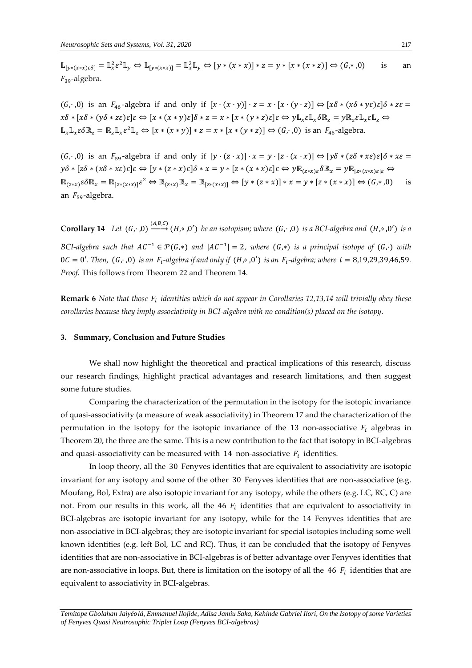$\mathbb{L}_{[y*(x*x)\in\delta]} = \mathbb{L}_{x}^{2}\varepsilon^{2}\mathbb{L}_{y} \Leftrightarrow \mathbb{L}_{[y*(x*x)]} = \mathbb{L}_{x}^{2}\mathbb{L}_{y} \Leftrightarrow [y*(x*x)] * z = y * [x*(x*z)] \Leftrightarrow (G,*,0)$  is an  $F_{39}$ -algebra.

 $(G, 0)$  is an  $F_{46}$ -algebra if and only if  $[x \cdot (x \cdot y)] \cdot z = x \cdot [x \cdot (y \cdot z)] \Leftrightarrow [x \delta * (x \delta * y \epsilon) \epsilon] \delta * z \epsilon =$  $x\delta * [x\delta * (y\delta * z\epsilon)\epsilon]\epsilon \Leftrightarrow [x * (x * y)\epsilon]\delta * z = x * [x * (y * z)\epsilon]\epsilon \Leftrightarrow y\mathbb{L}_r \epsilon \mathbb{L}_r \delta \mathbb{R}_z = y\mathbb{R}_z \epsilon \mathbb{L}_r \epsilon \mathbb{L}_z \Leftrightarrow$  $\mathbb{L}_x \mathbb{L}_x \varepsilon \delta \mathbb{R}_z = \mathbb{R}_z \mathbb{L}_x \varepsilon^2 \mathbb{L}_z \Leftrightarrow [x * (x * y)] * z = x * [x * (y * z)] \Leftrightarrow (G, \cdot, 0) \text{ is an } F_{46} \text{-algebra.}$ 

 $(G, ., 0)$  is an  $F_{59}$ -algebra if and only if  $[y \cdot (z \cdot x)] \cdot x = y \cdot [z \cdot (x \cdot x)] \Leftrightarrow [y \delta * (z \delta * x \epsilon) \epsilon] \delta * x \epsilon =$  $y\delta * [z\delta * (x\delta * x\epsilon)\epsilon]\epsilon \Leftrightarrow [y * (z * x)\epsilon]\delta * x = y * [z * (x * x)\epsilon]\epsilon \Leftrightarrow y \mathbb{R}_{(z * x)\epsilon}\delta\mathbb{R}_x = y \mathbb{R}_{[z * (x * x)\epsilon]\epsilon} \Leftrightarrow$  $\mathbb{R}_{(z*x)} \varepsilon \delta \mathbb{R}_x = \mathbb{R}_{[z*(x*x)]} \varepsilon^2 \Leftrightarrow \mathbb{R}_{(z*x)} \mathbb{R}_x = \mathbb{R}_{[z*(x*x)]} \Leftrightarrow [y*(z*x)] * x = y*[z*(x*x)] \Leftrightarrow (G,*,0)$  is an  $F_{59}$ -algebra.

**Corollary 14** *Let*  $(G, \cdot, 0) \xrightarrow{(A, B, C)} (H, \circ, 0')$  *be an isotopism; where*  $(G, \cdot, 0)$  *is a BCI-algebra and*  $(H, \circ, 0')$  *is a BCI-algebra such that*  $AC^{-1} \in \mathcal{P}(G,*)$  and  $|AC^{-1}| = 2$ , where  $(G,*)$  is a principal isotope of  $(G,.)$  with  $0C = 0'.$  Then,  $(G, \cdot, 0)$  *is an F*<sub>i</sub>-algebra if and only if  $(H, \circ, 0')$  *is an F*<sub>i</sub>-algebra; where  $i = 8,19,29,39,46,59$ . *Proof.* This follows from Theorem 22 and Theorem 14.

**Remark 6** *Note that those F<sub>i</sub> identities which do not appear in Corollaries 12,13,14 will trivially obey these corollaries because they imply associativity in BCI-algebra with no condition(s) placed on the isotopy.* 

#### **3. Summary, Conclusion and Future Studies**

We shall now highlight the theoretical and practical implications of this research, discuss our research findings, highlight practical advantages and research limitations, and then suggest some future studies.

Comparing the characterization of the permutation in the isotopy for the isotopic invariance of quasi-associativity (a measure of weak associativity) in Theorem 17 and the characterization of the permutation in the isotopy for the isotopic invariance of the 13 non-associative  $F_i$  algebras in Theorem 20, the three are the same. This is a new contribution to the fact that isotopy in BCI-algebras and quasi-associativity can be measured with 14 non-associative  $F_i$  identities.

In loop theory, all the 30 Fenyves identities that are equivalent to associativity are isotopic invariant for any isotopy and some of the other 30 Fenyves identities that are non-associative (e.g. Moufang, Bol, Extra) are also isotopic invariant for any isotopy, while the others (e.g. LC, RC, C) are not. From our results in this work, all the 46  $F_i$  identities that are equivalent to associativity in BCI-algebras are isotopic invariant for any isotopy, while for the 14 Fenyves identities that are non-associative in BCI-algebras; they are isotopic invariant for special isotopies including some well known identities (e.g. left Bol, LC and RC). Thus, it can be concluded that the isotopy of Fenyves identities that are non-associative in BCI-algebras is of better advantage over Fenyves identities that are non-associative in loops. But, there is limitation on the isotopy of all the 46  $F_i$  identities that are equivalent to associativity in BCI-algebras.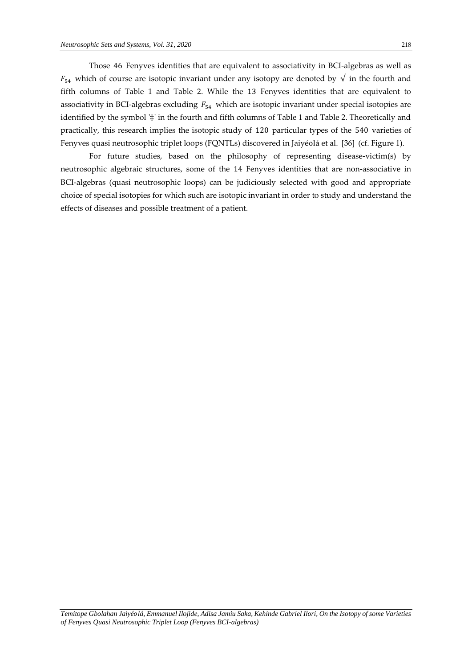Those 46 Fenyves identities that are equivalent to associativity in BCI-algebras as well as  $F_{54}$  which of course are isotopic invariant under any isotopy are denoted by  $\sqrt{\ }$  in the fourth and fifth columns of Table 1 and Table 2. While the 13 Fenyves identities that are equivalent to associativity in BCI-algebras excluding  $F_{54}$  which are isotopic invariant under special isotopies are identified by the symbol '‡' in the fourth and fifth columns of Table 1 and Table 2. Theoretically and practically, this research implies the isotopic study of 120 particular types of the 540 varieties of Fenyves quasi neutrosophic triplet loops (FQNTLs) discovered in Jaiyéolá et al. [36] (cf. Figure 1).

For future studies, based on the philosophy of representing disease-victim(s) by neutrosophic algebraic structures, some of the 14 Fenyves identities that are non-associative in BCI-algebras (quasi neutrosophic loops) can be judiciously selected with good and appropriate choice of special isotopies for which such are isotopic invariant in order to study and understand the effects of diseases and possible treatment of a patient.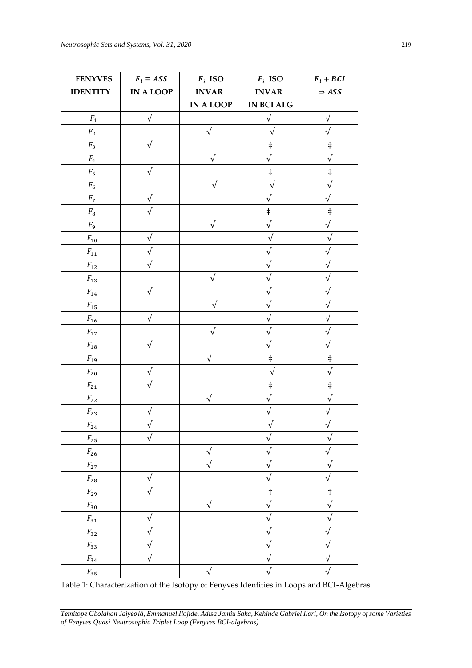| <b>FENYVES</b>       | $F_i \equiv ASS$ | $\boldsymbol{F}_i$ ISO | $\boldsymbol{F}_i$ ISO | $\boldsymbol{F}_i + \boldsymbol{B}\boldsymbol{C}\boldsymbol{I}$ |
|----------------------|------------------|------------------------|------------------------|-----------------------------------------------------------------|
| <b>IDENTITY</b>      | <b>IN A LOOP</b> | <b>INVAR</b>           | <b>INVAR</b>           | $\Rightarrow ASS$                                               |
|                      |                  | IN A LOOP              | IN BCI ALG             |                                                                 |
| ${\cal F}_1$         | $\sqrt{ }$       |                        | $\sqrt{}$              | $\sqrt{ }$                                                      |
| ${\cal F}_2$         |                  | $\sqrt{}$              | $\sqrt{ }$             | $\sqrt{}$                                                       |
| ${\cal F}_3$         | $\sqrt{}$        |                        | $\ddagger$             | $\ddagger$                                                      |
| $F_4$                |                  | $\sqrt{}$              | $\sqrt{}$              | $\sqrt{ }$                                                      |
| $F_{\rm 5}$          | $\sqrt{}$        |                        | $\ddagger$             | $\ddagger$                                                      |
| ${\cal F}_6$         |                  | $\sqrt{ }$             | $\sqrt{\phantom{a}}$   | $\sqrt{}$                                                       |
| ${\cal F}_7$         | $\sqrt{}$        |                        | $\sqrt{}$              | $\sqrt{ }$                                                      |
| $F_{\rm 8}$          | $\sqrt{}$        |                        | $\ddagger$             | $\ddagger$                                                      |
| $F_9$                |                  | $\sqrt{}$              | $\sqrt{}$              | $\sqrt{ }$                                                      |
| $F_\mathrm{10}$      | $\sqrt{}$        |                        | $\sqrt{}$              |                                                                 |
| ${\cal F}_{11}$      |                  |                        |                        | $\sqrt{}$                                                       |
| ${\cal F}_{12}$      | $\sqrt{}$        |                        | $\sqrt{}$              | $\sqrt{}$                                                       |
| ${\cal F}_{13}$      |                  | $\sqrt{}$              | $\sqrt{}$              | $\sqrt{}$                                                       |
| ${\cal F}_{14}$      | $\sqrt{}$        |                        |                        | $\sqrt{}$                                                       |
| ${\cal F}_{15}$      |                  |                        |                        | $\sqrt{}$                                                       |
| ${\cal F}_{16}$      | $\sqrt{}$        |                        |                        | $\sqrt{}$                                                       |
| ${\cal F}_{17}$      |                  | $\sqrt{}$              | $\sqrt{}$              | $\sqrt{}$                                                       |
| ${\cal F}_{18}$      | $\sqrt{}$        |                        | $\sqrt{}$              | $\sqrt{}$                                                       |
| ${\cal F}_{19}$      |                  | $\sqrt{ }$             | $\ddagger$             | $\ddagger$                                                      |
| ${\cal F}_{20}$      |                  |                        | $\sqrt{2}$             | $\sqrt{}$                                                       |
| ${\cal F}_{21}$      |                  |                        | $\ddagger$             | $\ddagger$                                                      |
| ${\cal F}_{22}$      |                  | $\sqrt{}$              | $\sqrt{}$              | $\sqrt{}$                                                       |
| ${\cal F}_{23}$      | $\sqrt{}$        |                        | $\sqrt{}$              | $\sqrt{}$                                                       |
| $F_{\underline{24}}$ |                  |                        | $\sqrt{}$              | $\sqrt{ }$                                                      |
| $F_{\rm 25}$         | $\sqrt{}$        |                        | $\sqrt{}$              | $\sqrt{}$                                                       |
| $\mathcal{F}_{26}$   |                  | $\sqrt{}$              | $\sqrt{}$              | $\sqrt{ }$                                                      |
| ${\cal F}_{27}$      |                  | $\sqrt{ }$             | $\sqrt{}$              | $\sqrt{}$                                                       |
| $F_{28}$             | $\sqrt{ }$       |                        | $\sqrt{}$              | $\sqrt{ }$                                                      |
| $F_{29}$             | $\sqrt{}$        |                        | $\ddagger$             | $\ddagger$                                                      |
| ${\cal F}_{30}$      |                  | $\sqrt{}$              | $\sqrt{}$              | $\sqrt{\phantom{a}}$                                            |
| ${\cal F}_{31}$      | $\sqrt{}$        |                        | $\sqrt{}$              | $\sqrt{ }$                                                      |
| ${\cal F}_{32}$      | $\sqrt{}$        |                        | $\sqrt{}$              | $\sqrt{ }$                                                      |
| ${\cal F}_{33}$      | $\sqrt{}$        |                        | $\sqrt{}$              | $\sqrt{}$                                                       |
| $F_{34}$             | $\sqrt{}$        |                        | $\sqrt{}$              | $\sqrt{ }$                                                      |
| $F_{35}$             |                  | $\sqrt{}$              | $\sqrt{}$              | $\sqrt{ }$                                                      |

Table 1: Characterization of the Isotopy of Fenyves Identities in Loops and BCI-Algebras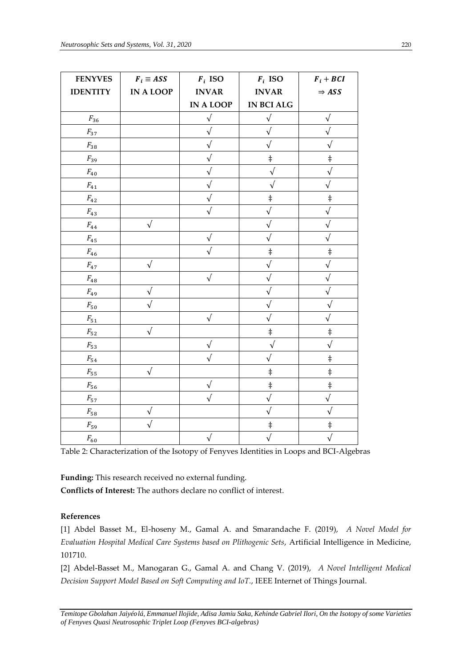| <b>FENYVES</b>     | $F_i \equiv ASS$ | $\boldsymbol{F}_i$ ISO | $\boldsymbol{F}_i$ ISO | $\boldsymbol{F}_i + \boldsymbol{B}\boldsymbol{C}\boldsymbol{I}$ |
|--------------------|------------------|------------------------|------------------------|-----------------------------------------------------------------|
| <b>IDENTITY</b>    | <b>IN A LOOP</b> | <b>INVAR</b>           | <b>INVAR</b>           | $\Rightarrow ASS$                                               |
|                    |                  | <b>IN A LOOP</b>       | <b>IN BCI ALG</b>      |                                                                 |
| $F_{36}$           |                  | $\sqrt{}$              | $\sqrt{}$              | $\sqrt{ }$                                                      |
| ${\cal F}_{37}$    |                  | $\sqrt{ }$             | $\sqrt{}$              | $\sqrt{ }$                                                      |
| ${\cal F}_{38}$    |                  | $\sqrt{2}$             | $\sqrt{}$              | $\sqrt{}$                                                       |
| $F_{39}$           |                  | $\sqrt{}$              | $\ddagger$             | $\ddagger$                                                      |
| $F_{40}$           |                  | $\sqrt{}$              | $\sqrt{}$              | $\sqrt{}$                                                       |
| ${\cal F}_{41}$    |                  | $\sqrt{}$              | $\sqrt{}$              | $\sqrt{}$                                                       |
| ${\cal F}_{42}$    |                  |                        | $\ddagger$             | $\ddagger$                                                      |
| ${\cal F}_{43}$    |                  | $\sqrt{}$              | $\sqrt{}$              | $\sqrt{ }$                                                      |
| ${\cal F}_{44}$    | $\sqrt{ }$       |                        | $\sqrt{}$              | $\sqrt{}$                                                       |
| $F_{45}$           |                  | $\sqrt{ }$             |                        | $\sqrt{}$                                                       |
| ${\cal F}_{46}$    |                  | $\sqrt{}$              | $\ddagger$             | $\ddagger$                                                      |
| ${\cal F}_{47}$    | $\sqrt{}$        |                        | $\sqrt{}$              | $\sqrt{}$                                                       |
| ${\cal F}_{48}$    |                  | $\sqrt{}$              |                        | $\sqrt{}$                                                       |
| $F_{49}$           | $\sqrt{}$        |                        | $\sqrt{}$              | $\sqrt{}$                                                       |
| $F_{\rm 50}$       |                  |                        |                        | $\sqrt{}$                                                       |
| ${\cal F}_{51}$    |                  | $\sqrt{}$              |                        | $\sqrt{}$                                                       |
| $F_{\rm 52}$       | $\sqrt{}$        |                        | $\ddagger$             | $\ddagger$                                                      |
| $F_{\rm 53}$       |                  | $\sqrt{}$              | $\sqrt{}$              | $\sqrt{}$                                                       |
| $F_{\rm 54}$       |                  |                        |                        | $\ddagger$                                                      |
| $F_{\rm 55}$       | $\sqrt{ }$       |                        | $\ddagger$             | $\ddagger$                                                      |
| $\mathcal{F}_{56}$ |                  | $\sqrt{}$              | $\ddagger$             | $\ddagger$                                                      |
| $F_{\rm 57}$       |                  | $\sqrt{}$              | $\sqrt{}$              | $\sqrt{ }$                                                      |
| $F_{\rm 58}$       | $\sqrt{}$        |                        | $\sqrt{}$              | $\sqrt{ }$                                                      |
| $F_{59}$           | $\sqrt{}$        |                        | $\ddagger$             | $\ddagger$                                                      |
| $F_{\rm 60}$       |                  | $\sqrt{}$              |                        | $\sqrt{}$                                                       |

Table 2: Characterization of the Isotopy of Fenyves Identities in Loops and BCI-Algebras

**Funding:** This research received no external funding. **Conflicts of Interest:** The authors declare no conflict of interest.

# **References**

[1] Abdel Basset M., El-hoseny M., Gamal A. and Smarandache F. (2019), *A Novel Model for Evaluation Hospital Medical Care Systems based on Plithogenic Sets*, Artificial Intelligence in Medicine, 101710.

[2] Abdel-Basset M., Manogaran G., Gamal A. and Chang V. (2019), *A Novel Intelligent Medical Decision Support Model Based on Soft Computing and IoT.*, IEEE Internet of Things Journal.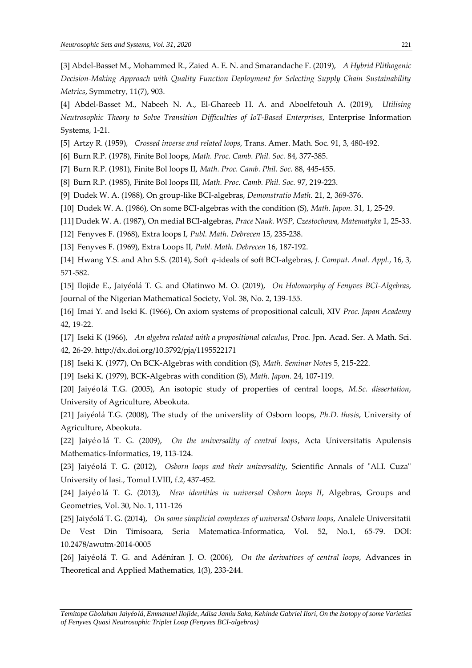[3] Abdel-Basset M., Mohammed R., Zaied A. E. N. and Smarandache F. (2019), *A Hybrid Plithogenic Decision-Making Approach with Quality Function Deployment for Selecting Supply Chain Sustainability Metrics*, Symmetry, 11(7), 903.

[4] Abdel-Basset M., Nabeeh N. A., El-Ghareeb H. A. and Aboelfetouh A. (2019), *Utilising Neutrosophic Theory to Solve Transition Difficulties of IoT-Based Enterprises*, Enterprise Information Systems, 1-21.

[5] Artzy R. (1959), *Crossed inverse and related loops*, Trans. Amer. Math. Soc. 91, 3, 480-492.

[6] Burn R.P. (1978), Finite Bol loops, *Math. Proc. Camb. Phil. Soc.* 84, 377-385.

[7] Burn R.P. (1981), Finite Bol loops II, *Math. Proc. Camb. Phil. Soc.* 88, 445-455.

[8] Burn R.P. (1985), Finite Bol loops III, *Math. Proc. Camb. Phil. Soc.* 97, 219-223.

[9] Dudek W. A. (1988), On group-like BCI-algebras, *Demonstratio Math.* 21, 2, 369-376.

[10] Dudek W. A. (1986), On some BCI-algebras with the condition (S), *Math. Japon.* 31, 1, 25-29.

[11] Dudek W. A. (1987), On medial BCI-algebras, *Prace Nauk. WSP, Czestochowa, Matematyka* 1, 25-33.

[12] Fenyves F. (1968), Extra loops I, *Publ. Math. Debrecen* 15, 235-238.

[13] Fenyves F. (1969), Extra Loops II, *Publ. Math. Debrecen* 16, 187-192.

[14] Hwang Y.S. and Ahn S.S. (2014), Soft q-ideals of soft BCI-algebras, *J. Comput. Anal. Appl.*, 16, 3, 571-582.

[15] Ilojide E., Jaiyéolá T. G. and Olatinwo M. O. (2019), *On Holomorphy of Fenyves BCI-Algebras*, Journal of the Nigerian Mathematical Society, Vol. 38, No. 2, 139-155.

[16] Imai Y. and Iseki K. (1966), On axiom systems of propositional calculi, XIV *Proc. Japan Academy* 42, 19-22.

[17] Iseki K (1966), *An algebra related with a propositional calculus*, Proc. Jpn. Acad. Ser. A Math. Sci. 42, 26-29. http://dx.doi.org/10.3792/pja/1195522171

[18] Iseki K. (1977), On BCK-Algebras with condition (S), *Math. Seminar Notes* 5, 215-222.

[19] Iseki K. (1979), BCK-Algebras with condition (S), *Math. Japon.* 24, 107-119.

[20] Jaiyéolá T.G. (2005), An isotopic study of properties of central loops, *M.Sc. dissertation*, University of Agriculture, Abeokuta.

[21] Jaiyéolá T.G. (2008), The study of the universlity of Osborn loops, *Ph.D. thesis*, University of Agriculture, Abeokuta.

[22] Jaiyé o lá T. G. (2009), *On the universality of central loops*, Acta Universitatis Apulensis Mathematics-Informatics, 19, 113-124.

[23] Jaiyéolá T. G. (2012), *Osborn loops and their universality*, Scientific Annals of "Al.I. Cuza" University of Iasi., Tomul LVIII, f.2, 437-452.

[24] Jaiyé o lá T. G. (2013), *New identities in universal Osborn loops II*, Algebras, Groups and Geometries, Vol. 30, No. 1, 111-126

[25] Jaiyéolá T. G. (2014), *On some simplicial complexes of universal Osborn loops*, Analele Universitatii De Vest Din Timisoara, Seria Matematica-Informatica, Vol. 52, No.1, 65-79. DOI: 10.2478/awutm-2014-0005

[26] Jaiyéolá T. G. and Adéníran J. O. (2006), *On the derivatives of central loops*, Advances in Theoretical and Applied Mathematics, 1(3), 233-244.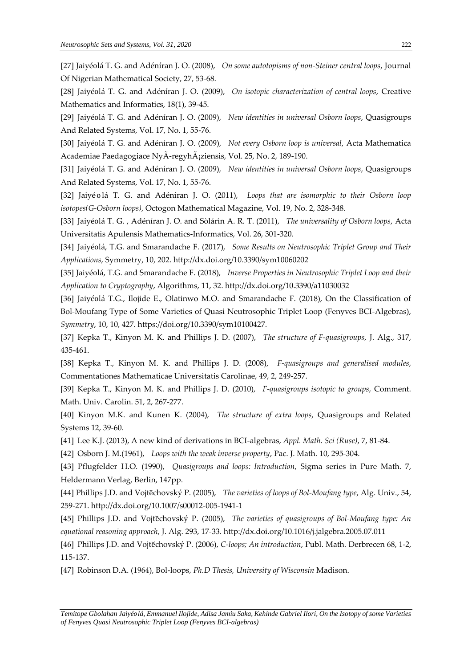[27] Jaiyéolá T. G. and Adéníran J. O. (2008), *On some autotopisms of non-Steiner central loops*, Journal Of Nigerian Mathematical Society, 27, 53-68.

[28] Jaiyéolá T. G. and Adéníran J. O. (2009), *On isotopic characterization of central loops*, Creative Mathematics and Informatics, 18(1), 39-45.

[29] Jaiyéolá T. G. and Adéníran J. O. (2009), *New identities in universal Osborn loops*, Quasigroups And Related Systems, Vol. 17, No. 1, 55-76.

[30] Jaiyéolá T. G. and Adéníran J. O. (2009), *Not every Osborn loop is universal*, Acta Mathematica Academiae Paedagogiace NyÃ-regyhÃ<sub>i</sub>ziensis, Vol. 25, No. 2, 189-190.

[31] Jaiyéolá T. G. and Adéníran J. O. (2009), *New identities in universal Osborn loops*, Quasigroups And Related Systems, Vol. 17, No. 1, 55-76.

[32] Jaiyé olá T. G. and Adéníran J. O. (2011), *Loops that are isomorphic to their Osborn loop isotopes(G-Osborn loops)*, Octogon Mathematical Magazine, Vol. 19, No. 2, 328-348.

[33] Jaiyéolá T. G. , Adéníran J. O. and Sòlárìn A. R. T. (2011), *The universality of Osborn loops*, Acta Universitatis Apulensis Mathematics-Informatics, Vol. 26, 301-320.

[34] Jaiyéolá, T.G. and Smarandache F. (2017), *Some Results on Neutrosophic Triplet Group and Their Applications*, Symmetry, 10, 202. http://dx.doi.org/10.3390/sym10060202

[35] Jaiyéolá, T.G. and Smarandache F. (2018), *Inverse Properties in Neutrosophic Triplet Loop and their Application to Cryptography*, Algorithms, 11, 32. http://dx.doi.org/10.3390/a11030032

[36] Jaiyéolá T.G., Ilojide E., Olatinwo M.O. and Smarandache F. (2018), On the Classification of Bol-Moufang Type of Some Varieties of Quasi Neutrosophic Triplet Loop (Fenyves BCI-Algebras), *Symmetry*, 10, 10, 427. https://doi.org/10.3390/sym10100427.

[37] Kepka T., Kinyon M. K. and Phillips J. D. (2007), *The structure of F-quasigroups*, J. Alg., 317, 435-461.

[38] Kepka T., Kinyon M. K. and Phillips J. D. (2008), *F-quasigroups and generalised modules*, Commentationes Mathematicae Universitatis Carolinae, 49, 2, 249-257.

[39] Kepka T., Kinyon M. K. and Phillips J. D. (2010), *F-quasigroups isotopic to groups*, Comment. Math. Univ. Carolin. 51, 2, 267-277.

[40] Kinyon M.K. and Kunen K. (2004), *The structure of extra loops*, Quasigroups and Related Systems 12, 39-60.

[41] Lee K.J. (2013), A new kind of derivations in BCI-algebras, *Appl. Math. Sci (Ruse)*, 7, 81-84.

[42] Osborn J. M.(1961), *Loops with the weak inverse property*, Pac. J. Math. 10, 295-304.

[43] Pflugfelder H.O. (1990), *Quasigroups and loops: Introduction*, Sigma series in Pure Math. 7, Heldermann Verlag, Berlin, 147pp.

[44] Phillips J.D. and Vojtĕchovský P. (2005), *The varieties of loops of Bol-Moufang type*, Alg. Univ., 54, 259-271. http://dx.doi.org/10.1007/s00012-005-1941-1

[45] Phillips J.D. and Vojtĕchovský P. (2005), *The varieties of quasigroups of Bol-Moufang type: An equational reasoning approach*, J. Alg. 293, 17-33. http://dx.doi.org/10.1016/j.jalgebra.2005.07.011

[46] Phillips J.D. and Vojtĕchovský P. (2006), *C-loops; An introduction*, Publ. Math. Derbrecen 68, 1-2, 115-137.

[47] Robinson D.A. (1964), Bol-loops, *Ph.D Thesis, University of Wisconsin* Madison.